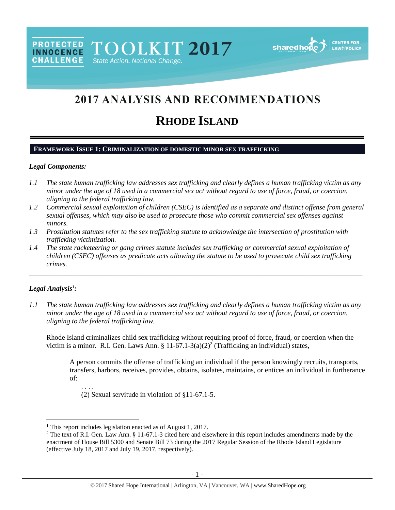TOOLKIT 2017 State Action. National Change



# 2017 ANALYSIS AND RECOMMENDATIONS

# **RHODE ISLAND**

## **FRAMEWORK ISSUE 1: CRIMINALIZATION OF DOMESTIC MINOR SEX TRAFFICKING**

#### *Legal Components:*

**PROTECTED** 

**INNOCENCE CHALLENGE** 

- *1.1 The state human trafficking law addresses sex trafficking and clearly defines a human trafficking victim as any minor under the age of 18 used in a commercial sex act without regard to use of force, fraud, or coercion, aligning to the federal trafficking law.*
- *1.2 Commercial sexual exploitation of children (CSEC) is identified as a separate and distinct offense from general sexual offenses, which may also be used to prosecute those who commit commercial sex offenses against minors.*
- *1.3 Prostitution statutes refer to the sex trafficking statute to acknowledge the intersection of prostitution with trafficking victimization.*
- *1.4 The state racketeering or gang crimes statute includes sex trafficking or commercial sexual exploitation of children (CSEC) offenses as predicate acts allowing the statute to be used to prosecute child sex trafficking crimes.*

## *Legal Analysis*<sup>1</sup> *:*

l

*1.1 The state human trafficking law addresses sex trafficking and clearly defines a human trafficking victim as any minor under the age of 18 used in a commercial sex act without regard to use of force, fraud, or coercion, aligning to the federal trafficking law.*

\_\_\_\_\_\_\_\_\_\_\_\_\_\_\_\_\_\_\_\_\_\_\_\_\_\_\_\_\_\_\_\_\_\_\_\_\_\_\_\_\_\_\_\_\_\_\_\_\_\_\_\_\_\_\_\_\_\_\_\_\_\_\_\_\_\_\_\_\_\_\_\_\_\_\_\_\_\_\_\_\_\_\_\_\_\_\_\_\_\_\_\_\_\_

Rhode Island criminalizes child sex trafficking without requiring proof of force, fraud, or coercion when the victim is a minor. R.I. Gen. Laws Ann. §  $11-67.1-3(a)(2)^2$  (Trafficking an individual) states,

A person commits the offense of trafficking an individual if the person knowingly recruits, transports, transfers, harbors, receives, provides, obtains, isolates, maintains, or entices an individual in furtherance of:

<span id="page-0-0"></span>. . . .

(2) Sexual servitude in violation of §11-67.1-5.

<sup>&</sup>lt;sup>1</sup> This report includes legislation enacted as of August 1, 2017.

<sup>&</sup>lt;sup>2</sup> The text of R.I. Gen. Law Ann. § 11-67.1-3 cited here and elsewhere in this report includes amendments made by the enactment of House Bill 5300 and Senate Bill 73 during the 2017 Regular Session of the Rhode Island Legislature (effective July 18, 2017 and July 19, 2017, respectively).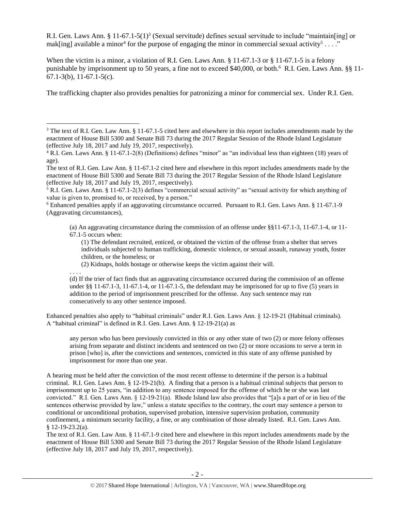<span id="page-1-0"></span>R.I. Gen. Laws Ann. § 11-67.1-5(1)<sup>3</sup> (Sexual servitude) defines sexual servitude to include "maintain[ing] or mak[ing] available a minor<sup>4</sup> for the purpose of engaging the minor in commercial sexual activity<sup>5</sup>...."

When the victim is a minor, a violation of R.I. Gen. Laws Ann. § 11-67.1-3 or § 11-67.1-5 is a felony punishable by imprisonment up to 50 years, a fine not to exceed \$40,000, or both.<sup>6</sup> R.I. Gen. Laws Ann. §§ 11-67.1-3(b), 11-67.1-5(c).

The trafficking chapter also provides penalties for patronizing a minor for commercial sex. Under R.I. Gen.

(a) An aggravating circumstance during the commission of an offense under §§11-67.1-3, 11-67.1-4, or 11- 67.1-5 occurs when:

(1) The defendant recruited, enticed, or obtained the victim of the offense from a shelter that serves individuals subjected to human trafficking, domestic violence, or sexual assault, runaway youth, foster children, or the homeless; or

(2) Kidnaps, holds hostage or otherwise keeps the victim against their will.

. . . .

 $\overline{\phantom{a}}$ 

(d) If the trier of fact finds that an aggravating circumstance occurred during the commission of an offense under  $\S$ § 11-67.1-3, 11-67.1-4, or 11-67.1-5, the defendant may be imprisoned for up to five (5) years in addition to the period of imprisonment prescribed for the offense. Any such sentence may run consecutively to any other sentence imposed.

Enhanced penalties also apply to "habitual criminals" under R.I. Gen. Laws Ann. § 12-19-21 (Habitual criminals). A "habitual criminal" is defined in R.I. Gen. Laws Ann. § 12-19-21(a) as

any person who has been previously convicted in this or any other state of two (2) or more felony offenses arising from separate and distinct incidents and sentenced on two (2) or more occasions to serve a term in prison [who] is, after the convictions and sentences, convicted in this state of any offense punished by imprisonment for more than one year.

A hearing must be held after the conviction of the most recent offense to determine if the person is a habitual criminal. R.I. Gen. Laws Ann. § 12-19-21(b). A finding that a person is a habitual criminal subjects that person to imprisonment up to 25 years, "in addition to any sentence imposed for the offense of which he or she was last convicted." R.I. Gen. Laws Ann. § 12-19-21(a). Rhode Island law also provides that "[a]s a part of or in lieu of the sentences otherwise provided by law," unless a statute specifies to the contrary, the court may sentence a person to conditional or unconditional probation, supervised probation, intensive supervision probation, community confinement, a minimum security facility, a fine, or any combination of those already listed. R.I. Gen. Laws Ann. § 12-19-23.2(a).

The text of R.I. Gen. Law Ann. § 11-67.1-9 cited here and elsewhere in this report includes amendments made by the enactment of House Bill 5300 and Senate Bill 73 during the 2017 Regular Session of the Rhode Island Legislature (effective July 18, 2017 and July 19, 2017, respectively).

<sup>&</sup>lt;sup>3</sup> The text of R.I. Gen. Law Ann. § 11-67.1-5 cited here and elsewhere in this report includes amendments made by the enactment of House Bill 5300 and Senate Bill 73 during the 2017 Regular Session of the Rhode Island Legislature (effective July 18, 2017 and July 19, 2017, respectively).

<sup>4</sup> R.I. Gen. Laws Ann. § 11-67.1-2(8) (Definitions) defines "minor" as "an individual less than eighteen (18) years of age).

The text of R.I. Gen. Law Ann. § 11-67.1-2 cited here and elsewhere in this report includes amendments made by the enactment of House Bill 5300 and Senate Bill 73 during the 2017 Regular Session of the Rhode Island Legislature (effective July 18, 2017 and July 19, 2017, respectively).

<sup>5</sup> R.I. Gen. Laws Ann. § 11-67.1-2(3) defines "commercial sexual activity" as "sexual activity for which anything of value is given to, promised to, or received, by a person."

<sup>6</sup> Enhanced penalties apply if an aggravating circumstance occurred. Pursuant to R.I. Gen. Laws Ann. § 11-67.1-9 (Aggravating circumstances),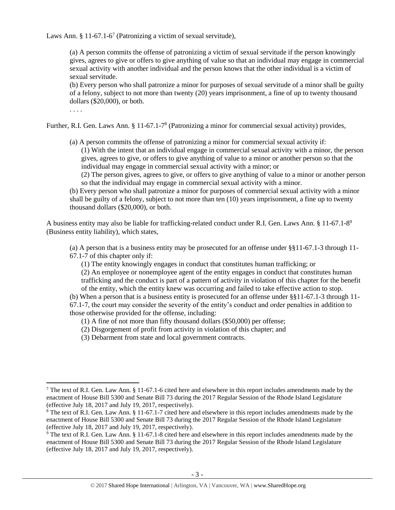Laws Ann. § 11-67.1-6<sup>7</sup> (Patronizing a victim of sexual servitude),

<span id="page-2-1"></span>(a) A person commits the offense of patronizing a victim of sexual servitude if the person knowingly gives, agrees to give or offers to give anything of value so that an individual may engage in commercial sexual activity with another individual and the person knows that the other individual is a victim of sexual servitude.

(b) Every person who shall patronize a minor for purposes of sexual servitude of a minor shall be guilty of a felony, subject to not more than twenty (20) years imprisonment, a fine of up to twenty thousand dollars (\$20,000), or both.

. . . .

 $\overline{\phantom{a}}$ 

Further, R.I. Gen. Laws Ann. § 11-67.1-7<sup>8</sup> (Patronizing a minor for commercial sexual activity) provides,

(a) A person commits the offense of patronizing a minor for commercial sexual activity if:

<span id="page-2-0"></span>(1) With the intent that an individual engage in commercial sexual activity with a minor, the person gives, agrees to give, or offers to give anything of value to a minor or another person so that the individual may engage in commercial sexual activity with a minor; or

(2) The person gives, agrees to give, or offers to give anything of value to a minor or another person so that the individual may engage in commercial sexual activity with a minor.

(b) Every person who shall patronize a minor for purposes of commercial sexual activity with a minor shall be guilty of a felony, subject to not more than ten (10) years imprisonment, a fine up to twenty thousand dollars (\$20,000), or both.

A business entity may also be liable for trafficking-related conduct under R.I. Gen. Laws Ann. § 11-67.1-8<sup>9</sup> (Business entity liability), which states,

(a) A person that is a business entity may be prosecuted for an offense under §§11-67.1-3 through 11- 67.1-7 of this chapter only if:

(1) The entity knowingly engages in conduct that constitutes human trafficking; or

(2) An employee or nonemployee agent of the entity engages in conduct that constitutes human trafficking and the conduct is part of a pattern of activity in violation of this chapter for the benefit of the entity, which the entity knew was occurring and failed to take effective action to stop.

(b) When a person that is a business entity is prosecuted for an offense under §§11-67.1-3 through 11- 67.1-7, the court may consider the severity of the entity's conduct and order penalties in addition to

those otherwise provided for the offense, including:

(1) A fine of not more than fifty thousand dollars (\$50,000) per offense;

(2) Disgorgement of profit from activity in violation of this chapter; and

(3) Debarment from state and local government contracts.

 $7$  The text of R.I. Gen. Law Ann. § 11-67.1-6 cited here and elsewhere in this report includes amendments made by the enactment of House Bill 5300 and Senate Bill 73 during the 2017 Regular Session of the Rhode Island Legislature (effective July 18, 2017 and July 19, 2017, respectively).

<sup>8</sup> The text of R.I. Gen. Law Ann. § 11-67.1-7 cited here and elsewhere in this report includes amendments made by the enactment of House Bill 5300 and Senate Bill 73 during the 2017 Regular Session of the Rhode Island Legislature (effective July 18, 2017 and July 19, 2017, respectively).

<sup>9</sup> The text of R.I. Gen. Law Ann. § 11-67.1-8 cited here and elsewhere in this report includes amendments made by the enactment of House Bill 5300 and Senate Bill 73 during the 2017 Regular Session of the Rhode Island Legislature (effective July 18, 2017 and July 19, 2017, respectively).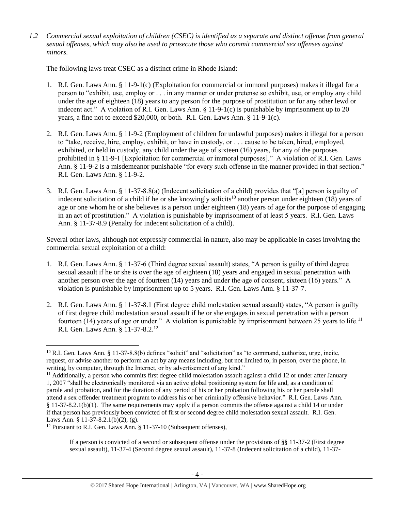*1.2 Commercial sexual exploitation of children (CSEC) is identified as a separate and distinct offense from general sexual offenses, which may also be used to prosecute those who commit commercial sex offenses against minors.*

The following laws treat CSEC as a distinct crime in Rhode Island:

- 1. R.I. Gen. Laws Ann. § 11-9-1(c) (Exploitation for commercial or immoral purposes) makes it illegal for a person to "exhibit, use, employ or . . . in any manner or under pretense so exhibit, use, or employ any child under the age of eighteen (18) years to any person for the purpose of prostitution or for any other lewd or indecent act." A violation of R.I. Gen. Laws Ann.  $\S 11-9-1(c)$  is punishable by imprisonment up to 20 years, a fine not to exceed \$20,000, or both. R.I. Gen. Laws Ann. § 11-9-1(c).
- 2. R.I. Gen. Laws Ann. § 11-9-2 (Employment of children for unlawful purposes) makes it illegal for a person to "take, receive, hire, employ, exhibit, or have in custody, or . . . cause to be taken, hired, employed, exhibited, or held in custody, any child under the age of sixteen (16) years, for any of the purposes prohibited in § 11-9-1 [Exploitation for commercial or immoral purposes]." A violation of R.I. Gen. Laws Ann. § 11-9-2 is a misdemeanor punishable "for every such offense in the manner provided in that section." R.I. Gen. Laws Ann. § 11-9-2.
- <span id="page-3-1"></span>3. R.I. Gen. Laws Ann. § 11-37-8.8(a) (Indecent solicitation of a child) provides that "[a] person is guilty of indecent solicitation of a child if he or she knowingly solicits<sup>10</sup> another person under eighteen (18) years of age or one whom he or she believes is a person under eighteen (18) years of age for the purpose of engaging in an act of prostitution." A violation is punishable by imprisonment of at least 5 years. R.I. Gen. Laws Ann. § 11-37-8.9 (Penalty for indecent solicitation of a child).

Several other laws, although not expressly commercial in nature, also may be applicable in cases involving the commercial sexual exploitation of a child:

- 1. R.I. Gen. Laws Ann. § 11-37-6 (Third degree sexual assault) states, "A person is guilty of third degree sexual assault if he or she is over the age of eighteen (18) years and engaged in sexual penetration with another person over the age of fourteen (14) years and under the age of consent, sixteen (16) years." A violation is punishable by imprisonment up to 5 years. R.I. Gen. Laws Ann. § 11-37-7.
- 2. R.I. Gen. Laws Ann. § 11-37-8.1 (First degree child molestation sexual assault) states, "A person is guilty of first degree child molestation sexual assault if he or she engages in sexual penetration with a person fourteen (14) years of age or under." A violation is punishable by imprisonment between 25 years to life.<sup>11</sup> R.I. Gen. Laws Ann. § 11-37-8.2.<sup>12</sup>

<span id="page-3-0"></span> $\overline{\phantom{a}}$ 

 $10$  R.I. Gen. Laws Ann. § 11-37-8.8(b) defines "solicit" and "solicitation" as "to command, authorize, urge, incite, request, or advise another to perform an act by any means including, but not limited to, in person, over the phone, in writing, by computer, through the Internet, or by advertisement of any kind."

<sup>&</sup>lt;sup>11</sup> Additionally, a person who commits first degree child molestation assault against a child 12 or under after January 1, 2007 "shall be electronically monitored via an active global positioning system for life and, as a condition of parole and probation, and for the duration of any period of his or her probation following his or her parole shall attend a sex offender treatment program to address his or her criminally offensive behavior." R.I. Gen. Laws Ann. § 11-37-8.2.1(b)(1). The same requirements may apply if a person commits the offense against a child 14 or under if that person has previously been convicted of first or second degree child molestation sexual assault. R.I. Gen. Laws Ann. § 11-37-8.2.1(b)(2), (g).

<sup>&</sup>lt;sup>12</sup> Pursuant to R.I. Gen. Laws Ann. § 11-37-10 (Subsequent offenses),

If a person is convicted of a second or subsequent offense under the provisions of §§ 11-37-2 (First degree sexual assault), 11-37-4 (Second degree sexual assault), 11-37-8 (Indecent solicitation of a child), 11-37-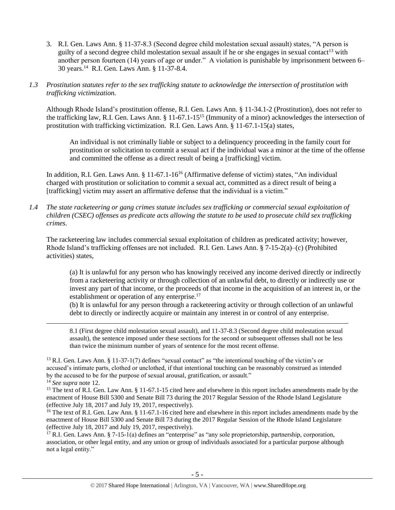- 3. R.I. Gen. Laws Ann. § 11-37-8.3 (Second degree child molestation sexual assault) states, "A person is guilty of a second degree child molestation sexual assault if he or she engages in sexual contact<sup>13</sup> with another person fourteen (14) years of age or under." A violation is punishable by imprisonment between 6– 30 years.<sup>14</sup> R.I. Gen. Laws Ann. § 11-37-8.4.
- *1.3 Prostitution statutes refer to the sex trafficking statute to acknowledge the intersection of prostitution with trafficking victimization.*

Although Rhode Island's prostitution offense, R.I. Gen. Laws Ann. § 11-34.1-2 (Prostitution), does not refer to the trafficking law, R.I. Gen. Laws Ann. § 11-67.1-15<sup>15</sup> (Immunity of a minor) acknowledges the intersection of prostitution with trafficking victimization. R.I. Gen. Laws Ann. § 11-67.1-15(a) states,

<span id="page-4-0"></span>An individual is not criminally liable or subject to a delinquency proceeding in the family court for prostitution or solicitation to commit a sexual act if the individual was a minor at the time of the offense and committed the offense as a direct result of being a [trafficking] victim.

In addition, R.I. Gen. Laws Ann. § 11-67.1-16<sup>16</sup> (Affirmative defense of victim) states, "An individual charged with prostitution or solicitation to commit a sexual act, committed as a direct result of being a [trafficking] victim may assert an affirmative defense that the individual is a victim."

*1.4 The state racketeering or gang crimes statute includes sex trafficking or commercial sexual exploitation of children (CSEC) offenses as predicate acts allowing the statute to be used to prosecute child sex trafficking crimes.* 

The racketeering law includes commercial sexual exploitation of children as predicated activity; however, Rhode Island's trafficking offenses are not included. R.I. Gen. Laws Ann. § 7-15-2(a)–(c) (Prohibited activities) states,

(a) It is unlawful for any person who has knowingly received any income derived directly or indirectly from a racketeering activity or through collection of an unlawful debt, to directly or indirectly use or invest any part of that income, or the proceeds of that income in the acquisition of an interest in, or the establishment or operation of any enterprise.<sup>17</sup>

(b) It is unlawful for any person through a racketeering activity or through collection of an unlawful debt to directly or indirectly acquire or maintain any interest in or control of any enterprise.

8.1 (First degree child molestation sexual assault), and 11-37-8.3 (Second degree child molestation sexual assault), the sentence imposed under these sections for the second or subsequent offenses shall not be less than twice the minimum number of years of sentence for the most recent offense.

<sup>13</sup> R.I. Gen. Laws Ann. § 11-37-1(7) defines "sexual contact" as "the intentional touching of the victim's or accused's intimate parts, clothed or unclothed, if that intentional touching can be reasonably construed as intended by the accused to be for the purpose of sexual arousal, gratification, or assault."

<sup>14</sup> *See supra* note [12.](#page-3-0)

 $\overline{\phantom{a}}$ 

<sup>15</sup> The text of R.I. Gen. Law Ann. § 11-67.1-15 cited here and elsewhere in this report includes amendments made by the enactment of House Bill 5300 and Senate Bill 73 during the 2017 Regular Session of the Rhode Island Legislature (effective July 18, 2017 and July 19, 2017, respectively).

<sup>16</sup> The text of R.I. Gen. Law Ann. § 11-67.1-16 cited here and elsewhere in this report includes amendments made by the enactment of House Bill 5300 and Senate Bill 73 during the 2017 Regular Session of the Rhode Island Legislature (effective July 18, 2017 and July 19, 2017, respectively).

<sup>17</sup> R.I. Gen. Laws Ann. § 7-15-1(a) defines an "enterprise" as "any sole proprietorship, partnership, corporation, association, or other legal entity, and any union or group of individuals associated for a particular purpose although not a legal entity."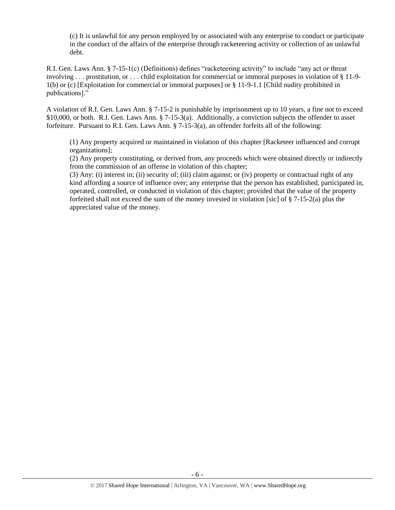(c) It is unlawful for any person employed by or associated with any enterprise to conduct or participate in the conduct of the affairs of the enterprise through racketeering activity or collection of an unlawful debt.

R.I. Gen. Laws Ann. § 7-15-1(c) (Definitions) defines "racketeering activity" to include "any act or threat involving . . . prostitution, or . . . child exploitation for commercial or immoral purposes in violation of § 11-9- 1(b) or (c) [Exploitation for commercial or immoral purposes] or § 11-9-1.1 [Child nudity prohibited in publications]."

A violation of R.I. Gen. Laws Ann. § 7-15-2 is punishable by imprisonment up to 10 years, a fine not to exceed \$10,000, or both. R.I. Gen. Laws Ann. § 7-15-3(a). Additionally, a conviction subjects the offender to asset forfeiture. Pursuant to R.I. Gen. Laws Ann. § 7-15-3(a), an offender forfeits all of the following:

(1) Any property acquired or maintained in violation of this chapter [Racketeer influenced and corrupt organizations];

(2) Any property constituting, or derived from, any proceeds which were obtained directly or indirectly from the commission of an offense in violation of this chapter;

(3) Any: (i) interest in; (ii) security of; (iii) claim against; or (iv) property or contractual right of any kind affording a source of influence over; any enterprise that the person has established, participated in, operated, controlled, or conducted in violation of this chapter; provided that the value of the property forfeited shall not exceed the sum of the money invested in violation [sic] of  $\S 7-15-2(a)$  plus the appreciated value of the money.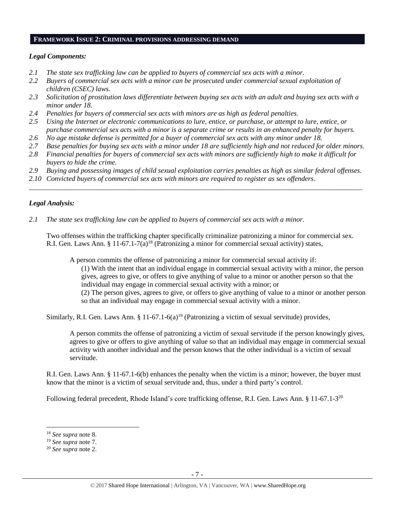#### **FRAMEWORK ISSUE 2: CRIMINAL PROVISIONS ADDRESSING DEMAND**

# *Legal Components:*

- *2.1 The state sex trafficking law can be applied to buyers of commercial sex acts with a minor.*
- *2.2 Buyers of commercial sex acts with a minor can be prosecuted under commercial sexual exploitation of children (CSEC) laws.*
- *2.3 Solicitation of prostitution laws differentiate between buying sex acts with an adult and buying sex acts with a minor under 18.*
- *2.4 Penalties for buyers of commercial sex acts with minors are as high as federal penalties.*
- *2.5 Using the Internet or electronic communications to lure, entice, or purchase, or attempt to lure, entice, or purchase commercial sex acts with a minor is a separate crime or results in an enhanced penalty for buyers.*
- *2.6 No age mistake defense is permitted for a buyer of commercial sex acts with any minor under 18.*
- *2.7 Base penalties for buying sex acts with a minor under 18 are sufficiently high and not reduced for older minors.*
- *2.8 Financial penalties for buyers of commercial sex acts with minors are sufficiently high to make it difficult for buyers to hide the crime.*
- *2.9 Buying and possessing images of child sexual exploitation carries penalties as high as similar federal offenses.*

\_\_\_\_\_\_\_\_\_\_\_\_\_\_\_\_\_\_\_\_\_\_\_\_\_\_\_\_\_\_\_\_\_\_\_\_\_\_\_\_\_\_\_\_\_\_\_\_\_\_\_\_\_\_\_\_\_\_\_\_\_\_\_\_\_\_\_\_\_\_\_\_\_\_\_\_\_\_\_\_\_\_\_\_\_\_\_\_\_\_\_\_\_\_

*2.10 Convicted buyers of commercial sex acts with minors are required to register as sex offenders*.

# *Legal Analysis:*

*2.1 The state sex trafficking law can be applied to buyers of commercial sex acts with a minor.*

Two offenses within the trafficking chapter specifically criminalize patronizing a minor for commercial sex. R.I. Gen. Laws Ann. §  $11-67.1-7(a)^{18}$  (Patronizing a minor for commercial sexual activity) states,

A person commits the offense of patronizing a minor for commercial sexual activity if:

(1) With the intent that an individual engage in commercial sexual activity with a minor, the person gives, agrees to give, or offers to give anything of value to a minor or another person so that the individual may engage in commercial sexual activity with a minor; or

(2) The person gives, agrees to give, or offers to give anything of value to a minor or another person so that an individual may engage in commercial sexual activity with a minor.

Similarly, R.I. Gen. Laws Ann. § 11-67.1-6(a)<sup>19</sup> (Patronizing a victim of sexual servitude) provides,

A person commits the offense of patronizing a victim of sexual servitude if the person knowingly gives, agrees to give or offers to give anything of value so that an individual may engage in commercial sexual activity with another individual and the person knows that the other individual is a victim of sexual servitude.

R.I. Gen. Laws Ann. § 11-67.1-6(b) enhances the penalty when the victim is a minor; however, the buyer must know that the minor is a victim of sexual servitude and, thus, under a third party's control.

Following federal precedent, Rhode Island's core trafficking offense, R.I. Gen. Laws Ann. § 11-67.1-3<sup>20</sup>

 $\overline{\phantom{a}}$ 

<sup>18</sup> *See supra* note [8.](#page-2-0)

<sup>19</sup> *See supra* note [7.](#page-2-1)

<sup>20</sup> *See supra* note [2.](#page-0-0)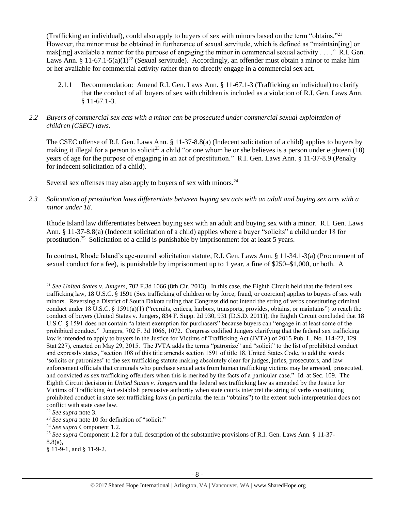(Trafficking an individual), could also apply to buyers of sex with minors based on the term "obtains."<sup>21</sup> However, the minor must be obtained in furtherance of sexual servitude, which is defined as "maintain[ing] or mak[ing] available a minor for the purpose of engaging the minor in commercial sexual activity  $\dots$ ." R.I. Gen. Laws Ann. § 11-67.1-5(a)(1)<sup>22</sup> (Sexual servitude). Accordingly, an offender must obtain a minor to make him or her available for commercial activity rather than to directly engage in a commercial sex act.

2.1.1 Recommendation: Amend R.I. Gen. Laws Ann. § 11-67.1-3 (Trafficking an individual) to clarify that the conduct of all buyers of sex with children is included as a violation of R.I. Gen. Laws Ann. § 11-67.1-3.

# *2.2 Buyers of commercial sex acts with a minor can be prosecuted under commercial sexual exploitation of children (CSEC) laws.*

The CSEC offense of R.I. Gen. Laws Ann. § 11-37-8.8(a) (Indecent solicitation of a child) applies to buyers by making it illegal for a person to solicit<sup>23</sup> a child "or one whom he or she believes is a person under eighteen  $(18)$ years of age for the purpose of engaging in an act of prostitution." R.I. Gen. Laws Ann. § 11-37-8.9 (Penalty for indecent solicitation of a child).

Several sex offenses may also apply to buyers of sex with minors.<sup>24</sup>

*2.3 Solicitation of prostitution laws differentiate between buying sex acts with an adult and buying sex acts with a minor under 18.*

Rhode Island law differentiates between buying sex with an adult and buying sex with a minor. R.I. Gen. Laws Ann. § 11-37-8.8(a) (Indecent solicitation of a child) applies where a buyer "solicits" a child under 18 for prostitution.<sup>25</sup> Solicitation of a child is punishable by imprisonment for at least 5 years.

In contrast, Rhode Island's age-neutral solicitation statute, R.I. Gen. Laws Ann. § 11-34.1-3(a) (Procurement of sexual conduct for a fee), is punishable by imprisonment up to 1 year, a fine of \$250–\$1,000, or both. A

 $\overline{\phantom{a}}$ 

<sup>21</sup> *See United States v. Jungers*, 702 F.3d 1066 (8th Cir. 2013). In this case, the Eighth Circuit held that the federal sex trafficking law, 18 U.S.C. § 1591 (Sex trafficking of children or by force, fraud, or coercion) applies to buyers of sex with minors. Reversing a District of South Dakota ruling that Congress did not intend the string of verbs constituting criminal conduct under 18 U.S.C. § 1591(a)(1) ("recruits, entices, harbors, transports, provides, obtains, or maintains") to reach the conduct of buyers (United States v. Jungers, 834 F. Supp. 2d 930, 931 (D.S.D. 2011)), the Eighth Circuit concluded that 18 U.S.C. § 1591 does not contain "a latent exemption for purchasers" because buyers can "engage in at least some of the prohibited conduct." Jungers, 702 F. 3d 1066, 1072. Congress codified Jungers clarifying that the federal sex trafficking law is intended to apply to buyers in the Justice for Victims of Trafficking Act (JVTA) of 2015 Pub. L. No. 114-22, 129 Stat 227), enacted on May 29, 2015. The JVTA adds the terms "patronize" and "solicit" to the list of prohibited conduct and expressly states, "section 108 of this title amends section 1591 of title 18, United States Code, to add the words 'solicits or patronizes' to the sex trafficking statute making absolutely clear for judges, juries, prosecutors, and law enforcement officials that criminals who purchase sexual acts from human trafficking victims may be arrested, prosecuted, and convicted as sex trafficking offenders when this is merited by the facts of a particular case." Id. at Sec. 109. The Eighth Circuit decision in *United States v. Jungers* and the federal sex trafficking law as amended by the Justice for Victims of Trafficking Act establish persuasive authority when state courts interpret the string of verbs constituting prohibited conduct in state sex trafficking laws (in particular the term "obtains") to the extent such interpretation does not conflict with state case law.

<sup>22</sup> *See supra* note [3.](#page-1-0)

<sup>23</sup> *See supra* note [10](#page-3-1) for definition of "solicit."

<sup>24</sup> *See supra* Component 1.2.

<sup>25</sup> *See supra* Component 1.2 for a full description of the substantive provisions of R.I. Gen. Laws Ann. § 11-37- 8.8(a),

<sup>§ 11-9-1,</sup> and § 11-9-2.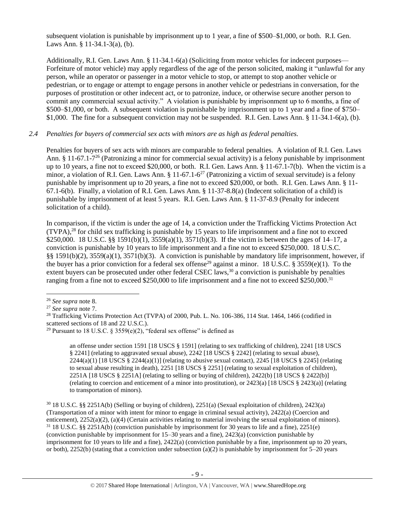subsequent violation is punishable by imprisonment up to 1 year, a fine of \$500–\$1,000, or both. R.I. Gen. Laws Ann. § 11-34.1-3(a), (b).

Additionally, R.I. Gen. Laws Ann. § 11-34.1-6(a) (Soliciting from motor vehicles for indecent purposes— Forfeiture of motor vehicle) may apply regardless of the age of the person solicited, making it "unlawful for any person, while an operator or passenger in a motor vehicle to stop, or attempt to stop another vehicle or pedestrian, or to engage or attempt to engage persons in another vehicle or pedestrians in conversation, for the purposes of prostitution or other indecent act, or to patronize, induce, or otherwise secure another person to commit any commercial sexual activity." A violation is punishable by imprisonment up to 6 months, a fine of \$500–\$1,000, or both. A subsequent violation is punishable by imprisonment up to 1 year and a fine of \$750– \$1,000. The fine for a subsequent conviction may not be suspended. R.I. Gen. Laws Ann. § 11-34.1-6(a), (b).

# *2.4 Penalties for buyers of commercial sex acts with minors are as high as federal penalties.*

Penalties for buyers of sex acts with minors are comparable to federal penalties. A violation of R.I. Gen. Laws Ann. § 11-67.1-7<sup>26</sup> (Patronizing a minor for commercial sexual activity) is a felony punishable by imprisonment up to 10 years, a fine not to exceed \$20,000, or both. R.I. Gen. Laws Ann. § 11-67.1-7(b). When the victim is a minor, a violation of R.I. Gen. Laws Ann. §  $11-67.1-6^{27}$  (Patronizing a victim of sexual servitude) is a felony punishable by imprisonment up to 20 years, a fine not to exceed \$20,000, or both. R.I. Gen. Laws Ann. § 11- 67.1-6(b). Finally, a violation of R.I. Gen. Laws Ann. § 11-37-8.8(a) (Indecent solicitation of a child) is punishable by imprisonment of at least 5 years. R.I. Gen. Laws Ann. § 11-37-8.9 (Penalty for indecent solicitation of a child).

<span id="page-8-0"></span>In comparison, if the victim is under the age of 14, a conviction under the Trafficking Victims Protection Act  $(TVPA)<sup>28</sup>$  for child sex trafficking is punishable by 15 years to life imprisonment and a fine not to exceed \$250,000. 18 U.S.C. §§ 1591(b)(1), 3559(a)(1), 3571(b)(3). If the victim is between the ages of 14–17, a conviction is punishable by 10 years to life imprisonment and a fine not to exceed \$250,000. 18 U.S.C. §§ 1591(b)(2), 3559(a)(1), 3571(b)(3). A conviction is punishable by mandatory life imprisonment, however, if the buyer has a prior conviction for a federal sex offense<sup>29</sup> against a minor. 18 U.S.C. § 3559(e)(1). To the extent buyers can be prosecuted under other federal CSEC laws,<sup>30</sup> a conviction is punishable by penalties ranging from a fine not to exceed \$250,000 to life imprisonment and a fine not to exceed \$250,000.<sup>31</sup>

 $\overline{\phantom{a}}$ 

<span id="page-8-1"></span>an offense under section 1591 [18 USCS § 1591] (relating to sex trafficking of children), 2241 [18 USCS § 2241] (relating to aggravated sexual abuse), 2242 [18 USCS § 2242] (relating to sexual abuse),  $2244(a)(1)$  [18 USCS §  $2244(a)(1)$ ] (relating to abusive sexual contact),  $2245$  [18 USCS § 2245] (relating to sexual abuse resulting in death), 2251 [18 USCS § 2251] (relating to sexual exploitation of children), 2251A [18 USCS § 2251A] (relating to selling or buying of children), 2422(b) [18 USCS § 2422(b)] (relating to coercion and enticement of a minor into prostitution), or 2423(a) [18 USCS § 2423(a)] (relating to transportation of minors).

<sup>30</sup> 18 U.S.C. §§ 2251A(b) (Selling or buying of children), 2251(a) (Sexual exploitation of children), 2423(a) (Transportation of a minor with intent for minor to engage in criminal sexual activity), 2422(a) (Coercion and enticement), 2252(a)(2), (a)(4) (Certain activities relating to material involving the sexual exploitation of minors).  $31\,18$  U.S.C. §§ 2251A(b) (conviction punishable by imprisonment for 30 years to life and a fine), 2251(e) (conviction punishable by imprisonment for 15–30 years and a fine), 2423(a) (conviction punishable by imprisonment for 10 years to life and a fine), 2422(a) (conviction punishable by a fine, imprisonment up to 20 years, or both), 2252(b) (stating that a conviction under subsection (a)(2) is punishable by imprisonment for  $5-20$  years

<sup>26</sup> *See supra* note [8.](#page-2-0)

<sup>27</sup> *See supra* note [7.](#page-2-1)

<sup>&</sup>lt;sup>28</sup> Trafficking Victims Protection Act (TVPA) of 2000, Pub. L. No. 106-386, 114 Stat. 1464, 1466 (codified in scattered sections of 18 and 22 U.S.C.).

<sup>&</sup>lt;sup>29</sup> Pursuant to 18 U.S.C. § 3559(e)(2), "federal sex offense" is defined as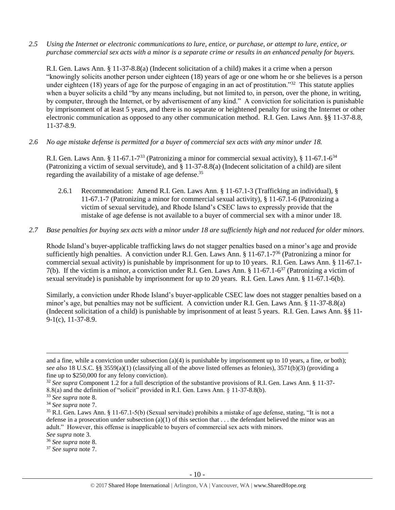*2.5 Using the Internet or electronic communications to lure, entice, or purchase, or attempt to lure, entice, or purchase commercial sex acts with a minor is a separate crime or results in an enhanced penalty for buyers.*

R.I. Gen. Laws Ann. § 11-37-8.8(a) (Indecent solicitation of a child) makes it a crime when a person "knowingly solicits another person under eighteen (18) years of age or one whom he or she believes is a person under eighteen (18) years of age for the purpose of engaging in an act of prostitution."<sup>32</sup> This statute applies when a buyer solicits a child "by any means including, but not limited to, in person, over the phone, in writing, by computer, through the Internet, or by advertisement of any kind." A conviction for solicitation is punishable by imprisonment of at least 5 years, and there is no separate or heightened penalty for using the Internet or other electronic communication as opposed to any other communication method. R.I. Gen. Laws Ann. §§ 11-37-8.8, 11-37-8.9.

*2.6 No age mistake defense is permitted for a buyer of commercial sex acts with any minor under 18.*

R.I. Gen. Laws Ann. § 11-67.1-7<sup>33</sup> (Patronizing a minor for commercial sexual activity), § 11-67.1-6<sup>34</sup> (Patronizing a victim of sexual servitude), and § 11-37-8.8(a) (Indecent solicitation of a child) are silent regarding the availability of a mistake of age defense.<sup>35</sup>

- 2.6.1 Recommendation: Amend R.I. Gen. Laws Ann. § 11-67.1-3 (Trafficking an individual), § 11-67.1-7 (Patronizing a minor for commercial sexual activity), § 11-67.1-6 (Patronizing a victim of sexual servitude), and Rhode Island's CSEC laws to expressly provide that the mistake of age defense is not available to a buyer of commercial sex with a minor under 18.
- *2.7 Base penalties for buying sex acts with a minor under 18 are sufficiently high and not reduced for older minors.*

Rhode Island's buyer-applicable trafficking laws do not stagger penalties based on a minor's age and provide sufficiently high penalties. A conviction under R.I. Gen. Laws Ann. § 11-67.1-7<sup>36</sup> (Patronizing a minor for commercial sexual activity) is punishable by imprisonment for up to 10 years. R.I. Gen. Laws Ann. § 11-67.1- 7(b). If the victim is a minor, a conviction under R.I. Gen. Laws Ann. § 11-67.1-6 <sup>37</sup> (Patronizing a victim of sexual servitude) is punishable by imprisonment for up to 20 years. R.I. Gen. Laws Ann. § 11-67.1-6(b).

Similarly, a conviction under Rhode Island's buyer-applicable CSEC law does not stagger penalties based on a minor's age, but penalties may not be sufficient. A conviction under R.I. Gen. Laws Ann. § 11-37-8.8(a) (Indecent solicitation of a child) is punishable by imprisonment of at least 5 years. R.I. Gen. Laws Ann. §§ 11- 9-1(c), 11-37-8.9.

 $\overline{a}$ 

and a fine, while a conviction under subsection (a)(4) is punishable by imprisonment up to 10 years, a fine, or both); *see also* 18 U.S.C. §§ 3559(a)(1) (classifying all of the above listed offenses as felonies), 3571(b)(3) (providing a fine up to \$250,000 for any felony conviction).

<sup>32</sup> *See supra* Component 1.2 for a full description of the substantive provisions of R.I. Gen. Laws Ann. § 11-37- 8.8(a) and the definition of "solicit" provided in R.I. Gen. Laws Ann. § 11-37-8.8(b).

<sup>33</sup> *See supra* note [8.](#page-2-0)

<sup>34</sup> *See supra* note [7.](#page-2-1)

<sup>35</sup> R.I. Gen. Laws Ann. § 11-67.1-5(b) (Sexual servitude) prohibits a mistake of age defense, stating, "It is not a defense in a prosecution under subsection (a)(1) of this section that  $\dots$  the defendant believed the minor was an adult." However, this offense is inapplicable to buyers of commercial sex acts with minors. *See supra* note [3.](#page-1-0)

<sup>36</sup> *See supra* note [8.](#page-2-0)

<sup>37</sup> *See supra* note [7.](#page-2-1)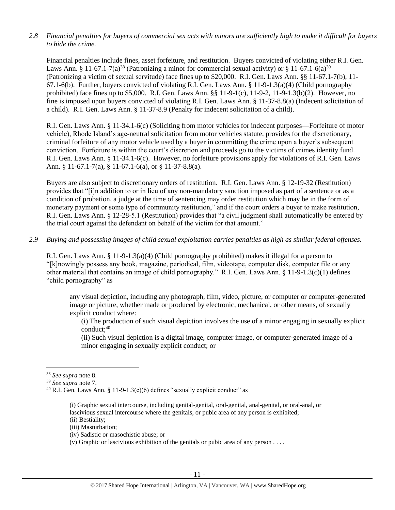## *2.8 Financial penalties for buyers of commercial sex acts with minors are sufficiently high to make it difficult for buyers to hide the crime.*

Financial penalties include fines, asset forfeiture, and restitution. Buyers convicted of violating either R.I. Gen. Laws Ann. § 11-67.1-7(a)<sup>38</sup> (Patronizing a minor for commercial sexual activity) or § 11-67.1-6(a)<sup>39</sup> (Patronizing a victim of sexual servitude) face fines up to \$20,000. R.I. Gen. Laws Ann. §§ 11-67.1-7(b), 11- 67.1-6(b). Further, buyers convicted of violating R.I. Gen. Laws Ann. § 11-9-1.3(a)(4) (Child pornography prohibited) face fines up to \$5,000. R.I. Gen. Laws Ann. §§ 11-9-1(c), 11-9-2, 11-9-1.3(b)(2). However, no fine is imposed upon buyers convicted of violating R.I. Gen. Laws Ann. § 11-37-8.8(a) (Indecent solicitation of a child). R.I. Gen. Laws Ann. § 11-37-8.9 (Penalty for indecent solicitation of a child).

R.I. Gen. Laws Ann. § 11-34.1-6(c) (Soliciting from motor vehicles for indecent purposes—Forfeiture of motor vehicle), Rhode Island's age-neutral solicitation from motor vehicles statute, provides for the discretionary, criminal forfeiture of any motor vehicle used by a buyer in committing the crime upon a buyer's subsequent conviction. Forfeiture is within the court's discretion and proceeds go to the victims of crimes identity fund. R.I. Gen. Laws Ann. § 11-34.1-6(c). However, no forfeiture provisions apply for violations of R.I. Gen. Laws Ann. § 11-67.1-7(a), § 11-67.1-6(a), or § 11-37-8.8(a).

Buyers are also subject to discretionary orders of restitution. R.I. Gen. Laws Ann. § 12-19-32 (Restitution) provides that "[i]n addition to or in lieu of any non-mandatory sanction imposed as part of a sentence or as a condition of probation, a judge at the time of sentencing may order restitution which may be in the form of monetary payment or some type of community restitution," and if the court orders a buyer to make restitution, R.I. Gen. Laws Ann. § 12-28-5.1 (Restitution) provides that "a civil judgment shall automatically be entered by the trial court against the defendant on behalf of the victim for that amount."

#### *2.9 Buying and possessing images of child sexual exploitation carries penalties as high as similar federal offenses.*

R.I. Gen. Laws Ann. § 11-9-1.3(a)(4) (Child pornography prohibited) makes it illegal for a person to "[k]nowingly possess any book, magazine, periodical, film, videotape, computer disk, computer file or any other material that contains an image of child pornography." R.I. Gen. Laws Ann. § 11-9-1.3(c)(1) defines "child pornography" as

any visual depiction, including any photograph, film, video, picture, or computer or computer-generated image or picture, whether made or produced by electronic, mechanical, or other means, of sexually explicit conduct where:

(i) The production of such visual depiction involves the use of a minor engaging in sexually explicit  $conduct:40$ 

(ii) Such visual depiction is a digital image, computer image, or computer-generated image of a minor engaging in sexually explicit conduct; or

 $\overline{\phantom{a}}$ 

- (ii) Bestiality;
- (iii) Masturbation;
- (iv) Sadistic or masochistic abuse; or

<sup>38</sup> *See supra* note [8.](#page-2-0)

<sup>39</sup> *See supra* note [7.](#page-2-1)

<sup>&</sup>lt;sup>40</sup> R.I. Gen. Laws Ann. § 11-9-1.3(c)(6) defines "sexually explicit conduct" as

<sup>(</sup>i) Graphic sexual intercourse, including genital-genital, oral-genital, anal-genital, or oral-anal, or lascivious sexual intercourse where the genitals, or pubic area of any person is exhibited;

<sup>(</sup>v) Graphic or lascivious exhibition of the genitals or pubic area of any person . . . .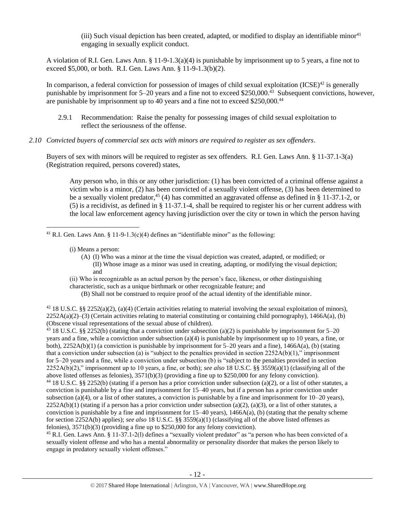(iii) Such visual depiction has been created, adapted, or modified to display an identifiable minor<sup>41</sup> engaging in sexually explicit conduct.

A violation of R.I. Gen. Laws Ann. § 11-9-1.3(a)(4) is punishable by imprisonment up to 5 years, a fine not to exceed \$5,000, or both. R.I. Gen. Laws Ann. § 11-9-1.3(b)(2).

In comparison, a federal conviction for possession of images of child sexual exploitation  $(ICSE)^{42}$  is generally punishable by imprisonment for 5–20 years and a fine not to exceed \$250,000.<sup>43</sup> Subsequent convictions, however, are punishable by imprisonment up to 40 years and a fine not to exceed \$250,000.<sup>44</sup>

- 2.9.1 Recommendation: Raise the penalty for possessing images of child sexual exploitation to reflect the seriousness of the offense.
- *2.10 Convicted buyers of commercial sex acts with minors are required to register as sex offenders*.

Buyers of sex with minors will be required to register as sex offenders. R.I. Gen. Laws Ann. § 11-37.1-3(a) (Registration required, persons covered) states,

<span id="page-11-0"></span>Any person who, in this or any other jurisdiction: (1) has been convicted of a criminal offense against a victim who is a minor, (2) has been convicted of a sexually violent offense, (3) has been determined to be a sexually violent predator,<sup>45</sup> (4) has committed an aggravated offense as defined in § 11-37.1-2, or (5) is a recidivist, as defined in § 11-37.1-4, shall be required to register his or her current address with the local law enforcement agency having jurisdiction over the city or town in which the person having

 $\overline{\phantom{a}}$ <sup>41</sup> R.I. Gen. Laws Ann. § 11-9-1.3(c)(4) defines an "identifiable minor" as the following:

- (i) Means a person:
	- (A) (I) Who was a minor at the time the visual depiction was created, adapted, or modified; or (II) Whose image as a minor was used in creating, adapting, or modifying the visual depiction; and

(ii) Who is recognizable as an actual person by the person's face, likeness, or other distinguishing

characteristic, such as a unique birthmark or other recognizable feature; and

(B) Shall not be construed to require proof of the actual identity of the identifiable minor.

 $42$  18 U.S.C. §§ 2252(a)(2), (a)(4) (Certain activities relating to material involving the sexual exploitation of minors),  $2252A(a)(2)$ –(3) (Certain activities relating to material constituting or containing child pornography), 1466A(a), (b) (Obscene visual representations of the sexual abuse of children).

<sup>43</sup> 18 U.S.C. §§ 2252(b) (stating that a conviction under subsection (a)(2) is punishable by imprisonment for 5–20 years and a fine, while a conviction under subsection (a)(4) is punishable by imprisonment up to 10 years, a fine, or both),  $2252A(b)(1)$  (a conviction is punishable by imprisonment for 5–20 years and a fine),  $1466A(a)$ , (b) (stating that a conviction under subsection (a) is "subject to the penalties provided in section  $2252A(b)(1)$ ," imprisonment for 5–20 years and a fine, while a conviction under subsection (b) is "subject to the penalties provided in section 2252A(b)(2)," imprisonment up to 10 years, a fine, or both); *see also* 18 U.S.C. §§ 3559(a)(1) (classifying all of the above listed offenses as felonies), 3571(b)(3) (providing a fine up to \$250,000 for any felony conviction).

<sup>44</sup> 18 U.S.C. §§ 2252(b) (stating if a person has a prior conviction under subsection (a)(2), or a list of other statutes, a conviction is punishable by a fine and imprisonment for 15–40 years, but if a person has a prior conviction under subsection (a)(4), or a list of other statutes, a conviction is punishable by a fine and imprisonment for  $10-20$  years),  $2252A(b)(1)$  (stating if a person has a prior conviction under subsection (a)(2), (a)(3), or a list of other statutes, a conviction is punishable by a fine and imprisonment for  $15-40$  years),  $1466A(a)$ , (b) (stating that the penalty scheme for section 2252A(b) applies); *see also* 18 U.S.C. §§ 3559(a)(1) (classifying all of the above listed offenses as felonies), 3571(b)(3) (providing a fine up to \$250,000 for any felony conviction).

<sup>45</sup> R.I. Gen. Laws Ann. § 11-37.1-2(l) defines a "sexually violent predator" as "a person who has been convicted of a sexually violent offense and who has a mental abnormality or personality disorder that makes the person likely to engage in predatory sexually violent offenses."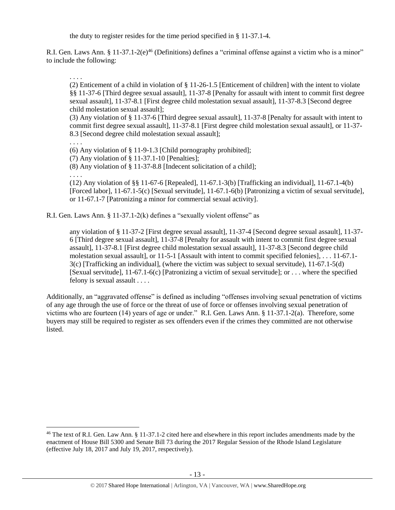<span id="page-12-0"></span>the duty to register resides for the time period specified in § 11-37.1-4.

R.I. Gen. Laws Ann. § 11-37.1-2(e)<sup>46</sup> (Definitions) defines a "criminal offense against a victim who is a minor" to include the following:

. . . .

(2) Enticement of a child in violation of § 11-26-1.5 [Enticement of children] with the intent to violate §§ 11-37-6 [Third degree sexual assault], 11-37-8 [Penalty for assault with intent to commit first degree sexual assault], 11-37-8.1 [First degree child molestation sexual assault], 11-37-8.3 [Second degree child molestation sexual assault];

(3) Any violation of § 11-37-6 [Third degree sexual assault], 11-37-8 [Penalty for assault with intent to commit first degree sexual assault], 11-37-8.1 [First degree child molestation sexual assault], or 11-37- 8.3 [Second degree child molestation sexual assault];

. . . .

 $\overline{\phantom{a}}$ 

(6) Any violation of § 11-9-1.3 [Child pornography prohibited];

(7) Any violation of § 11-37.1-10 [Penalties];

(8) Any violation of § 11-37-8.8 [Indecent solicitation of a child];

. . . .

(12) Any violation of §§ 11-67-6 [Repealed], 11-67.1-3(b) [Trafficking an individual], 11-67.1-4(b) [Forced labor], 11-67.1-5(c) [Sexual servitude], 11-67.1-6(b) [Patronizing a victim of sexual servitude], or 11-67.1-7 [Patronizing a minor for commercial sexual activity].

R.I. Gen. Laws Ann. § 11-37.1-2(k) defines a "sexually violent offense" as

any violation of § 11-37-2 [First degree sexual assault], 11-37-4 [Second degree sexual assault], 11-37- 6 [Third degree sexual assault], 11-37-8 [Penalty for assault with intent to commit first degree sexual assault], 11-37-8.1 [First degree child molestation sexual assault], 11-37-8.3 [Second degree child molestation sexual assault], or 11-5-1 [Assault with intent to commit specified felonies], . . . 11-67.1- 3(c) [Trafficking an individual], (where the victim was subject to sexual servitude), 11-67.1-5(d) [Sexual servitude], 11-67.1-6(c) [Patronizing a victim of sexual servitude]; or . . . where the specified felony is sexual assault . . . .

Additionally, an "aggravated offense" is defined as including "offenses involving sexual penetration of victims of any age through the use of force or the threat of use of force or offenses involving sexual penetration of victims who are fourteen (14) years of age or under." R.I. Gen. Laws Ann. § 11-37.1-2(a). Therefore, some buyers may still be required to register as sex offenders even if the crimes they committed are not otherwise listed.

<sup>&</sup>lt;sup>46</sup> The text of R.I. Gen. Law Ann. § 11-37.1-2 cited here and elsewhere in this report includes amendments made by the enactment of House Bill 5300 and Senate Bill 73 during the 2017 Regular Session of the Rhode Island Legislature (effective July 18, 2017 and July 19, 2017, respectively).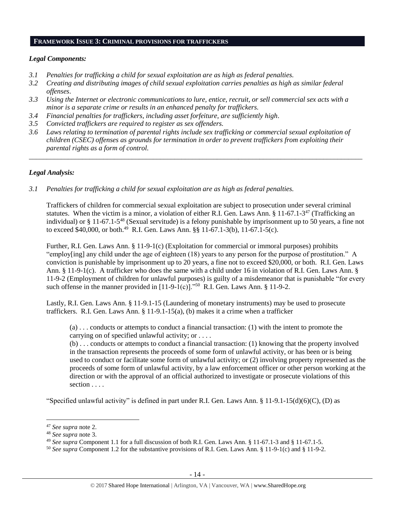#### **FRAMEWORK ISSUE 3: CRIMINAL PROVISIONS FOR TRAFFICKERS**

#### *Legal Components:*

- *3.1 Penalties for trafficking a child for sexual exploitation are as high as federal penalties.*
- *3.2 Creating and distributing images of child sexual exploitation carries penalties as high as similar federal offenses*.
- *3.3 Using the Internet or electronic communications to lure, entice, recruit, or sell commercial sex acts with a minor is a separate crime or results in an enhanced penalty for traffickers.*
- *3.4 Financial penalties for traffickers, including asset forfeiture, are sufficiently high*.
- *3.5 Convicted traffickers are required to register as sex offenders.*
- *3.6 Laws relating to termination of parental rights include sex trafficking or commercial sexual exploitation of children (CSEC) offenses as grounds for termination in order to prevent traffickers from exploiting their parental rights as a form of control.*

*\_\_\_\_\_\_\_\_\_\_\_\_\_\_\_\_\_\_\_\_\_\_\_\_\_\_\_\_\_\_\_\_\_\_\_\_\_\_\_\_\_\_\_\_\_\_\_\_\_\_\_\_\_\_\_\_\_\_\_\_\_\_\_\_\_\_\_\_\_\_\_\_\_\_\_\_\_\_\_\_\_\_\_\_\_\_\_\_\_\_\_\_\_\_*

## *Legal Analysis:*

*3.1 Penalties for trafficking a child for sexual exploitation are as high as federal penalties.* 

Traffickers of children for commercial sexual exploitation are subject to prosecution under several criminal statutes. When the victim is a minor, a violation of either R.I. Gen. Laws Ann. § 11-67.1-3<sup>47</sup> (Trafficking an individual) or § 11-67.1-5<sup>48</sup> (Sexual servitude) is a felony punishable by imprisonment up to 50 years, a fine not to exceed \$40,000, or both.<sup>49</sup> R.I. Gen. Laws Ann. §§ 11-67.1-3(b), 11-67.1-5(c).

Further, R.I. Gen. Laws Ann. § 11-9-1(c) (Exploitation for commercial or immoral purposes) prohibits "employ[ing] any child under the age of eighteen (18) years to any person for the purpose of prostitution." A conviction is punishable by imprisonment up to 20 years, a fine not to exceed \$20,000, or both. R.I. Gen. Laws Ann. § 11-9-1(c). A trafficker who does the same with a child under 16 in violation of R.I. Gen. Laws Ann. § 11-9-2 (Employment of children for unlawful purposes) is guilty of a misdemeanor that is punishable "for every such offense in the manner provided in  $[11-9-1(c)]$ ."<sup>50</sup> R.I. Gen. Laws Ann. § 11-9-2.

Lastly, R.I. Gen. Laws Ann. § 11-9.1-15 (Laundering of monetary instruments) may be used to prosecute traffickers. R.I. Gen. Laws Ann. § 11-9.1-15(a), (b) makes it a crime when a trafficker

(a) . . . conducts or attempts to conduct a financial transaction: (1) with the intent to promote the carrying on of specified unlawful activity; or . . . .

(b) . . . conducts or attempts to conduct a financial transaction: (1) knowing that the property involved in the transaction represents the proceeds of some form of unlawful activity, or has been or is being used to conduct or facilitate some form of unlawful activity; or (2) involving property represented as the proceeds of some form of unlawful activity, by a law enforcement officer or other person working at the direction or with the approval of an official authorized to investigate or prosecute violations of this section . . . .

"Specified unlawful activity" is defined in part under R.I. Gen. Laws Ann.  $\S 11-9.1-15(d)(6)(C)$ , (D) as

l

<sup>47</sup> *See supra* note [2.](#page-0-0)

<sup>48</sup> *See supra* note [3.](#page-1-0)

<sup>49</sup> *See supra* Component 1.1 for a full discussion of both R.I. Gen. Laws Ann. § 11-67.1-3 and § 11-67.1-5.

<sup>50</sup> *See supra* Component 1.2 for the substantive provisions of R.I. Gen. Laws Ann. § 11-9-1(c) and § 11-9-2.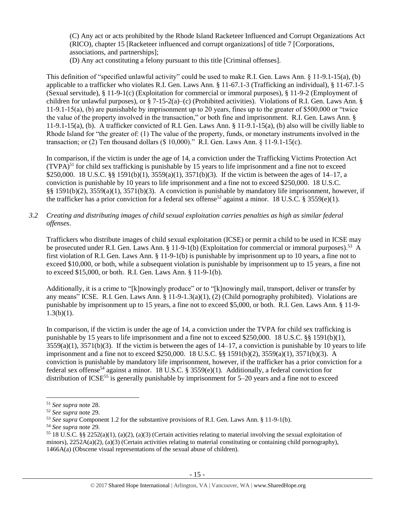(C) Any act or acts prohibited by the Rhode Island Racketeer Influenced and Corrupt Organizations Act (RICO), chapter 15 [Racketeer influenced and corrupt organizations] of title 7 [Corporations, associations, and partnerships];

(D) Any act constituting a felony pursuant to this title [Criminal offenses].

This definition of "specified unlawful activity" could be used to make R.I. Gen. Laws Ann. § 11-9.1-15(a), (b) applicable to a trafficker who violates R.I. Gen. Laws Ann. § 11-67.1-3 (Trafficking an individual), § 11-67.1-5 (Sexual servitude), § 11-9-1(c) (Exploitation for commercial or immoral purposes), § 11-9-2 (Employment of children for unlawful purposes), or § 7-15-2(a)–(c) (Prohibited activities). Violations of R.I. Gen. Laws Ann. § 11-9.1-15(a), (b) are punishable by imprisonment up to 20 years, fines up to the greater of \$500,000 or "twice the value of the property involved in the transaction," or both fine and imprisonment. R.I. Gen. Laws Ann. § 11-9.1-15(a), (b). A trafficker convicted of R.I. Gen. Laws Ann. § 11-9.1-15(a), (b) also will be civilly liable to Rhode Island for "the greater of: (1) The value of the property, funds, or monetary instruments involved in the transaction; or (2) Ten thousand dollars (\$ 10,000)." R.I. Gen. Laws Ann. § 11-9.1-15(c).

In comparison, if the victim is under the age of 14, a conviction under the Trafficking Victims Protection Act  $(TVPA)^{51}$  for child sex trafficking is punishable by 15 years to life imprisonment and a fine not to exceed \$250,000. 18 U.S.C. §§ 1591(b)(1), 3559(a)(1), 3571(b)(3). If the victim is between the ages of 14–17, a conviction is punishable by 10 years to life imprisonment and a fine not to exceed \$250,000. 18 U.S.C. §§ 1591(b)(2), 3559(a)(1), 3571(b)(3). A conviction is punishable by mandatory life imprisonment, however, if the trafficker has a prior conviction for a federal sex offense<sup>52</sup> against a minor. 18 U.S.C. § 3559(e)(1).

*3.2 Creating and distributing images of child sexual exploitation carries penalties as high as similar federal offenses*.

Traffickers who distribute images of child sexual exploitation (ICSE) or permit a child to be used in ICSE may be prosecuted under R.I. Gen. Laws Ann. § 11-9-1(b) (Exploitation for commercial or immoral purposes).<sup>53</sup> A first violation of R.I. Gen. Laws Ann. § 11-9-1(b) is punishable by imprisonment up to 10 years, a fine not to exceed \$10,000, or both, while a subsequent violation is punishable by imprisonment up to 15 years, a fine not to exceed \$15,000, or both. R.I. Gen. Laws Ann. § 11-9-1(b).

Additionally, it is a crime to "[k]nowingly produce" or to "[k]nowingly mail, transport, deliver or transfer by any means" ICSE. R.I. Gen. Laws Ann. § 11-9-1.3(a)(1), (2) (Child pornography prohibited). Violations are punishable by imprisonment up to 15 years, a fine not to exceed \$5,000, or both. R.I. Gen. Laws Ann. § 11-9-  $1.3(b)(1)$ .

In comparison, if the victim is under the age of 14, a conviction under the TVPA for child sex trafficking is punishable by 15 years to life imprisonment and a fine not to exceed \$250,000. 18 U.S.C. §§ 1591(b)(1),  $3559(a)(1)$ ,  $3571(b)(3)$ . If the victim is between the ages of  $14-17$ , a conviction is punishable by 10 years to life imprisonment and a fine not to exceed \$250,000. 18 U.S.C. §§ 1591(b)(2), 3559(a)(1), 3571(b)(3). A conviction is punishable by mandatory life imprisonment, however, if the trafficker has a prior conviction for a federal sex offense<sup>54</sup> against a minor. 18 U.S.C. § 3559(e)(1). Additionally, a federal conviction for distribution of  $ICSE<sup>55</sup>$  is generally punishable by imprisonment for 5–20 years and a fine not to exceed

 $\overline{a}$ 

<sup>51</sup> *See supra* note [28.](#page-8-0)

<sup>52</sup> *See supra* note [29.](#page-8-1) 

<sup>53</sup> *See supra* Component 1.2 for the substantive provisions of R.I. Gen. Laws Ann. § 11-9-1(b).

<sup>54</sup> *See supra* note [29.](#page-8-1)

<sup>&</sup>lt;sup>55</sup> 18 U.S.C. §§ 2252(a)(1), (a)(2), (a)(3) (Certain activities relating to material involving the sexual exploitation of minors),  $2252A(a)(2)$ ,  $(a)(3)$  (Certain activities relating to material constituting or containing child pornography), 1466A(a) (Obscene visual representations of the sexual abuse of children).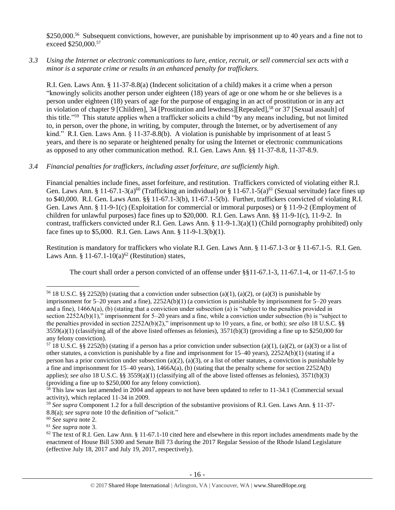\$250,000.<sup>56</sup> Subsequent convictions, however, are punishable by imprisonment up to 40 years and a fine not to exceed \$250,000.<sup>57</sup>

*3.3 Using the Internet or electronic communications to lure, entice, recruit, or sell commercial sex acts with a minor is a separate crime or results in an enhanced penalty for traffickers.*

R.I. Gen. Laws Ann. § 11-37-8.8(a) (Indecent solicitation of a child) makes it a crime when a person "knowingly solicits another person under eighteen (18) years of age or one whom he or she believes is a person under eighteen (18) years of age for the purpose of engaging in an act of prostitution or in any act in violation of chapter 9 [Children], 34 [Prostitution and lewdness][Repealed],<sup>58</sup> or 37 [Sexual assault] of this title."<sup>59</sup> This statute applies when a trafficker solicits a child "by any means including, but not limited to, in person, over the phone, in writing, by computer, through the Internet, or by advertisement of any kind." R.I. Gen. Laws Ann. § 11-37-8.8(b). A violation is punishable by imprisonment of at least 5 years, and there is no separate or heightened penalty for using the Internet or electronic communications as opposed to any other communication method. R.I. Gen. Laws Ann. §§ 11-37-8.8, 11-37-8.9.

# *3.4 Financial penalties for traffickers, including asset forfeiture, are sufficiently high*.

Financial penalties include fines, asset forfeiture, and restitution. Traffickers convicted of violating either R.I. Gen. Laws Ann. § 11-67.1-3(a)<sup>60</sup> (Trafficking an individual) or § 11-67.1-5(a)<sup>61</sup> (Sexual servitude) face fines up to \$40,000. R.I. Gen. Laws Ann. §§ 11-67.1-3(b), 11-67.1-5(b). Further, traffickers convicted of violating R.I. Gen. Laws Ann. § 11-9-1(c) (Exploitation for commercial or immoral purposes) or § 11-9-2 (Employment of children for unlawful purposes) face fines up to \$20,000. R.I. Gen. Laws Ann. §§ 11-9-1(c), 11-9-2. In contrast, traffickers convicted under R.I. Gen. Laws Ann. § 11-9-1.3(a)(1) (Child pornography prohibited) only face fines up to \$5,000. R.I. Gen. Laws Ann. § 11-9-1.3(b)(1).

Restitution is mandatory for traffickers who violate R.I. Gen. Laws Ann. § 11-67.1-3 or § 11-67.1-5. R.I. Gen. Laws Ann. § 11-67.1-10(a)<sup>62</sup> (Restitution) states,

<span id="page-15-0"></span>The court shall order a person convicted of an offense under §§11-67.1-3, 11-67.1-4, or 11-67.1-5 to

 $\overline{a}$ 

<sup>&</sup>lt;sup>56</sup> 18 U.S.C. §§ 2252(b) (stating that a conviction under subsection (a)(1), (a)(2), or (a)(3) is punishable by imprisonment for  $5-20$  years and a fine),  $2252A(b)(1)$  (a conviction is punishable by imprisonment for  $5-20$  years and a fine), 1466A(a), (b) (stating that a conviction under subsection (a) is "subject to the penalties provided in section 2252A(b)(1)," imprisonment for 5–20 years and a fine, while a conviction under subsection (b) is "subject to the penalties provided in section 2252A(b)(2)," imprisonment up to 10 years, a fine, or both); *see also* 18 U.S.C. §§  $3559(a)(1)$  (classifying all of the above listed offenses as felonies),  $3571(b)(3)$  (providing a fine up to \$250,000 for any felony conviction).

 $57$  18 U.S.C. §§ 2252(b) (stating if a person has a prior conviction under subsection (a)(1), (a)(2), or (a)(3) or a list of other statutes, a conviction is punishable by a fine and imprisonment for 15–40 years), 2252A(b)(1) (stating if a person has a prior conviction under subsection (a)(2), (a)(3), or a list of other statutes, a conviction is punishable by a fine and imprisonment for 15–40 years), 1466A(a), (b) (stating that the penalty scheme for section 2252A(b) applies); *see also* 18 U.S.C. §§ 3559(a)(1) (classifying all of the above listed offenses as felonies), 3571(b)(3) (providing a fine up to \$250,000 for any felony conviction).

 $58$  This law was last amended in 2004 and appears to not have been updated to refer to 11-34.1 (Commercial sexual activity), which replaced 11-34 in 2009.

<sup>59</sup> *See supra* Component 1.2 for a full description of the substantive provisions of R.I. Gen. Laws Ann. § 11-37- 8.8(a); *see supra* note [10](#page-3-1) the definition of "solicit."

<sup>60</sup> *See supra* note [2.](#page-0-0)

<sup>61</sup> *See supra* note [3.](#page-1-0)

 $62$  The text of R.I. Gen. Law Ann. § 11-67.1-10 cited here and elsewhere in this report includes amendments made by the enactment of House Bill 5300 and Senate Bill 73 during the 2017 Regular Session of the Rhode Island Legislature (effective July 18, 2017 and July 19, 2017, respectively).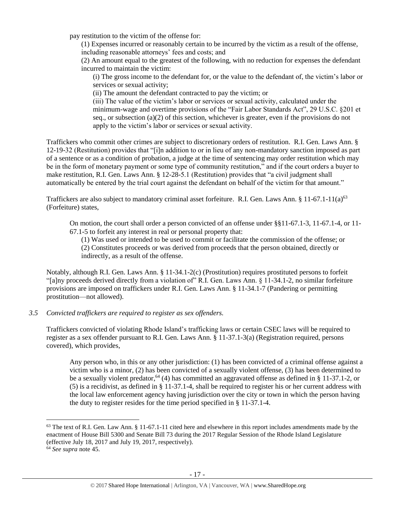pay restitution to the victim of the offense for:

(1) Expenses incurred or reasonably certain to be incurred by the victim as a result of the offense, including reasonable attorneys' fees and costs; and

(2) An amount equal to the greatest of the following, with no reduction for expenses the defendant incurred to maintain the victim:

(i) The gross income to the defendant for, or the value to the defendant of, the victim's labor or services or sexual activity;

(ii) The amount the defendant contracted to pay the victim; or

(iii) The value of the victim's labor or services or sexual activity, calculated under the minimum-wage and overtime provisions of the "Fair Labor Standards Act", 29 U.S.C. §201 et seq., or subsection (a)(2) of this section, whichever is greater, even if the provisions do not apply to the victim's labor or services or sexual activity.

Traffickers who commit other crimes are subject to discretionary orders of restitution. R.I. Gen. Laws Ann. § 12-19-32 (Restitution) provides that "[i]n addition to or in lieu of any non-mandatory sanction imposed as part of a sentence or as a condition of probation, a judge at the time of sentencing may order restitution which may be in the form of monetary payment or some type of community restitution," and if the court orders a buyer to make restitution, R.I. Gen. Laws Ann. § 12-28-5.1 (Restitution) provides that "a civil judgment shall automatically be entered by the trial court against the defendant on behalf of the victim for that amount."

Traffickers are also subject to mandatory criminal asset forfeiture. R.I. Gen. Laws Ann. § 11-67.1-11(a)<sup>63</sup> (Forfeiture) states,

On motion, the court shall order a person convicted of an offense under §§11-67.1-3, 11-67.1-4, or 11- 67.1-5 to forfeit any interest in real or personal property that:

<span id="page-16-0"></span>(1) Was used or intended to be used to commit or facilitate the commission of the offense; or (2) Constitutes proceeds or was derived from proceeds that the person obtained, directly or indirectly, as a result of the offense.

Notably, although R.I. Gen. Laws Ann. § 11-34.1-2(c) (Prostitution) requires prostituted persons to forfeit "[a]ny proceeds derived directly from a violation of" R.I. Gen. Laws Ann. § 11-34.1-2, no similar forfeiture provisions are imposed on traffickers under R.I. Gen. Laws Ann. § 11-34.1-7 (Pandering or permitting prostitution—not allowed).

## *3.5 Convicted traffickers are required to register as sex offenders.*

Traffickers convicted of violating Rhode Island's trafficking laws or certain CSEC laws will be required to register as a sex offender pursuant to R.I. Gen. Laws Ann. § 11-37.1-3(a) (Registration required, persons covered), which provides,

Any person who, in this or any other jurisdiction: (1) has been convicted of a criminal offense against a victim who is a minor, (2) has been convicted of a sexually violent offense, (3) has been determined to be a sexually violent predator,  $64$  (4) has committed an aggravated offense as defined in § 11-37.1-2, or (5) is a recidivist, as defined in § 11-37.1-4, shall be required to register his or her current address with the local law enforcement agency having jurisdiction over the city or town in which the person having the duty to register resides for the time period specified in § 11-37.1-4.

l

 $63$  The text of R.I. Gen. Law Ann. § 11-67.1-11 cited here and elsewhere in this report includes amendments made by the enactment of House Bill 5300 and Senate Bill 73 during the 2017 Regular Session of the Rhode Island Legislature (effective July 18, 2017 and July 19, 2017, respectively).

<sup>64</sup> *See supra* note [45.](#page-11-0)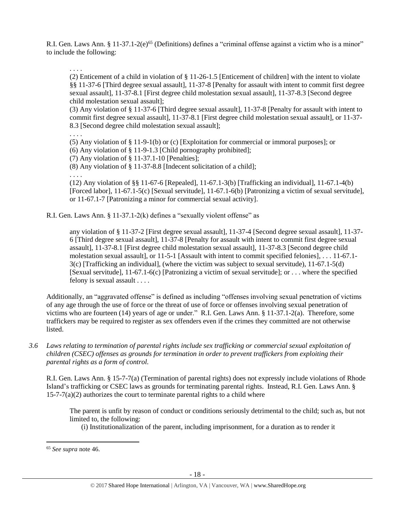R.I. Gen. Laws Ann. § 11-37.1-2(e)<sup>65</sup> (Definitions) defines a "criminal offense against a victim who is a minor" to include the following:

. . . .

(2) Enticement of a child in violation of § 11-26-1.5 [Enticement of children] with the intent to violate §§ 11-37-6 [Third degree sexual assault], 11-37-8 [Penalty for assault with intent to commit first degree sexual assault], 11-37-8.1 [First degree child molestation sexual assault], 11-37-8.3 [Second degree child molestation sexual assault];

(3) Any violation of § 11-37-6 [Third degree sexual assault], 11-37-8 [Penalty for assault with intent to commit first degree sexual assault], 11-37-8.1 [First degree child molestation sexual assault], or 11-37- 8.3 [Second degree child molestation sexual assault];

. . . .

(5) Any violation of § 11-9-1(b) or (c) [Exploitation for commercial or immoral purposes]; or

(6) Any violation of § 11-9-1.3 [Child pornography prohibited];

(7) Any violation of § 11-37.1-10 [Penalties];

(8) Any violation of § 11-37-8.8 [Indecent solicitation of a child];

. . . .

(12) Any violation of §§ 11-67-6 [Repealed], 11-67.1-3(b) [Trafficking an individual], 11-67.1-4(b) [Forced labor], 11-67.1-5(c) [Sexual servitude], 11-67.1-6(b) [Patronizing a victim of sexual servitude], or 11-67.1-7 [Patronizing a minor for commercial sexual activity].

R.I. Gen. Laws Ann. § 11-37.1-2(k) defines a "sexually violent offense" as

any violation of § 11-37-2 [First degree sexual assault], 11-37-4 [Second degree sexual assault], 11-37- 6 [Third degree sexual assault], 11-37-8 [Penalty for assault with intent to commit first degree sexual assault], 11-37-8.1 [First degree child molestation sexual assault], 11-37-8.3 [Second degree child molestation sexual assault], or 11-5-1 [Assault with intent to commit specified felonies], . . . 11-67.1- 3(c) [Trafficking an individual], (where the victim was subject to sexual servitude), 11-67.1-5(d) [Sexual servitude], 11-67.1-6(c) [Patronizing a victim of sexual servitude]; or . . . where the specified felony is sexual assault . . . .

Additionally, an "aggravated offense" is defined as including "offenses involving sexual penetration of victims of any age through the use of force or the threat of use of force or offenses involving sexual penetration of victims who are fourteen (14) years of age or under." R.I. Gen. Laws Ann. § 11-37.1-2(a). Therefore, some traffickers may be required to register as sex offenders even if the crimes they committed are not otherwise listed.

*3.6 Laws relating to termination of parental rights include sex trafficking or commercial sexual exploitation of children (CSEC) offenses as grounds for termination in order to prevent traffickers from exploiting their parental rights as a form of control.* 

R.I. Gen. Laws Ann. § 15-7-7(a) (Termination of parental rights) does not expressly include violations of Rhode Island's trafficking or CSEC laws as grounds for terminating parental rights. Instead, R.I. Gen. Laws Ann. §  $15-7-7(a)(2)$  authorizes the court to terminate parental rights to a child where

The parent is unfit by reason of conduct or conditions seriously detrimental to the child; such as, but not limited to, the following:

(i) Institutionalization of the parent, including imprisonment, for a duration as to render it

 $\overline{a}$ 

<sup>65</sup> *See supra* note [46.](#page-12-0)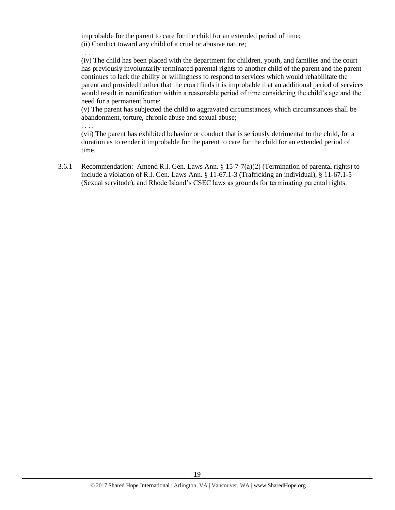improbable for the parent to care for the child for an extended period of time; (ii) Conduct toward any child of a cruel or abusive nature;

. . . .

(iv) The child has been placed with the department for children, youth, and families and the court has previously involuntarily terminated parental rights to another child of the parent and the parent continues to lack the ability or willingness to respond to services which would rehabilitate the parent and provided further that the court finds it is improbable that an additional period of services would result in reunification within a reasonable period of time considering the child's age and the need for a permanent home;

(v) The parent has subjected the child to aggravated circumstances, which circumstances shall be abandonment, torture, chronic abuse and sexual abuse;

. . . .

(vii) The parent has exhibited behavior or conduct that is seriously detrimental to the child, for a duration as to render it improbable for the parent to care for the child for an extended period of time.

3.6.1 Recommendation: Amend R.I. Gen. Laws Ann. § 15-7-7(a)(2) (Termination of parental rights) to include a violation of R.I. Gen. Laws Ann. § 11-67.1-3 (Trafficking an individual), § 11-67.1-5 (Sexual servitude), and Rhode Island's CSEC laws as grounds for terminating parental rights.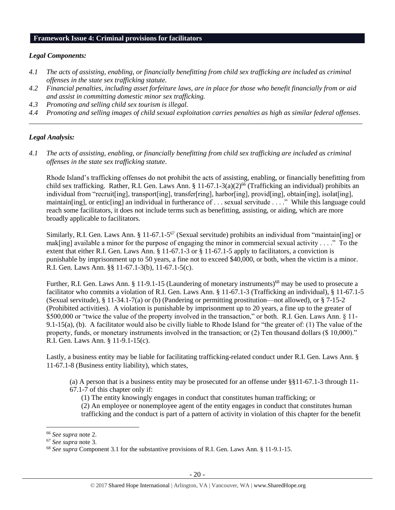#### **Framework Issue 4: Criminal provisions for facilitators**

#### *Legal Components:*

- *4.1 The acts of assisting, enabling, or financially benefitting from child sex trafficking are included as criminal offenses in the state sex trafficking statute.*
- *4.2 Financial penalties, including asset forfeiture laws, are in place for those who benefit financially from or aid and assist in committing domestic minor sex trafficking.*
- *4.3 Promoting and selling child sex tourism is illegal.*
- *4.4 Promoting and selling images of child sexual exploitation carries penalties as high as similar federal offenses. \_\_\_\_\_\_\_\_\_\_\_\_\_\_\_\_\_\_\_\_\_\_\_\_\_\_\_\_\_\_\_\_\_\_\_\_\_\_\_\_\_\_\_\_\_\_\_\_\_\_\_\_\_\_\_\_\_\_\_\_\_\_\_\_\_\_\_\_\_\_\_\_\_\_\_\_\_\_\_\_\_\_\_\_\_\_\_\_\_\_\_\_\_\_*

#### *Legal Analysis:*

*4.1 The acts of assisting, enabling, or financially benefitting from child sex trafficking are included as criminal offenses in the state sex trafficking statute*.

Rhode Island's trafficking offenses do not prohibit the acts of assisting, enabling, or financially benefitting from child sex trafficking. Rather, R.I. Gen. Laws Ann.  $\S 11-67.1-3(a)(2)^{66}$  (Trafficking an individual) prohibits an individual from "recruit[ing], transport[ing], transfer[ring], harbor[ing], provid[ing], obtain[ing], isolat[ing], maintain[ing], or entic[ing] an individual in furtherance of . . . sexual servitude . . . ." While this language could reach some facilitators, it does not include terms such as benefitting, assisting, or aiding, which are more broadly applicable to facilitators.

Similarly, R.I. Gen. Laws Ann. § 11-67.1-5<sup>67</sup> (Sexual servitude) prohibits an individual from "maintain[ing] or mak[ing] available a minor for the purpose of engaging the minor in commercial sexual activity . . . ." To the extent that either R.I. Gen. Laws Ann. § 11-67.1-3 or § 11-67.1-5 apply to facilitators, a conviction is punishable by imprisonment up to 50 years, a fine not to exceed \$40,000, or both, when the victim is a minor. R.I. Gen. Laws Ann. §§ 11-67.1-3(b), 11-67.1-5(c).

Further, R.I. Gen. Laws Ann. § 11-9.1-15 (Laundering of monetary instruments)<sup>68</sup> may be used to prosecute a facilitator who commits a violation of R.I. Gen. Laws Ann. § 11-67.1-3 (Trafficking an individual), § 11-67.1-5 (Sexual servitude),  $\S 11-34.1-7(a)$  or (b) (Pandering or permitting prostitution—not allowed), or  $\S 7-15-2$ (Prohibited activities). A violation is punishable by imprisonment up to 20 years, a fine up to the greater of \$500,000 or "twice the value of the property involved in the transaction," or both. R.I. Gen. Laws Ann. § 11- 9.1-15(a), (b). A facilitator would also be civilly liable to Rhode Island for "the greater of: (1) The value of the property, funds, or monetary instruments involved in the transaction; or (2) Ten thousand dollars (\$ 10,000)." R.I. Gen. Laws Ann. § 11-9.1-15(c).

Lastly, a business entity may be liable for facilitating trafficking-related conduct under R.I. Gen. Laws Ann. § 11-67.1-8 (Business entity liability), which states,

- (a) A person that is a business entity may be prosecuted for an offense under §§11-67.1-3 through 11- 67.1-7 of this chapter only if:
	- (1) The entity knowingly engages in conduct that constitutes human trafficking; or
	- (2) An employee or nonemployee agent of the entity engages in conduct that constitutes human trafficking and the conduct is part of a pattern of activity in violation of this chapter for the benefit

 $\overline{\phantom{a}}$ 

<sup>66</sup> *See supra* note [2.](#page-0-0)

<sup>67</sup> *See supra* note [3.](#page-1-0)

<sup>68</sup> *See supra* Component 3.1 for the substantive provisions of R.I. Gen. Laws Ann. § 11-9.1-15.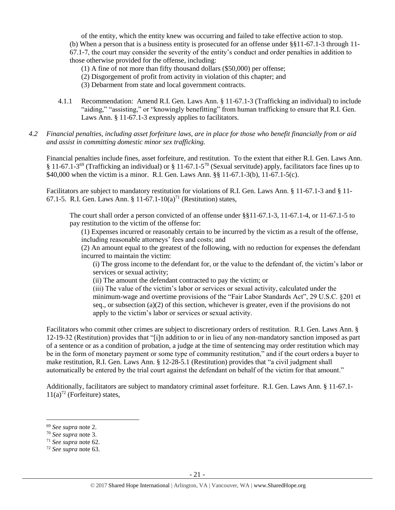of the entity, which the entity knew was occurring and failed to take effective action to stop. (b) When a person that is a business entity is prosecuted for an offense under §§11-67.1-3 through 11- 67.1-7, the court may consider the severity of the entity's conduct and order penalties in addition to those otherwise provided for the offense, including:

(1) A fine of not more than fifty thousand dollars (\$50,000) per offense;

- (2) Disgorgement of profit from activity in violation of this chapter; and
- (3) Debarment from state and local government contracts.
- 4.1.1 Recommendation: Amend R.I. Gen. Laws Ann. § 11-67.1-3 (Trafficking an individual) to include "aiding," "assisting," or "knowingly benefitting" from human trafficking to ensure that R.I. Gen. Laws Ann. § 11-67.1-3 expressly applies to facilitators.
- *4.2 Financial penalties, including asset forfeiture laws, are in place for those who benefit financially from or aid and assist in committing domestic minor sex trafficking.*

Financial penalties include fines, asset forfeiture, and restitution. To the extent that either R.I. Gen. Laws Ann. § 11-67.1-3<sup>69</sup> (Trafficking an individual) or § 11-67.1-5<sup>70</sup> (Sexual servitude) apply, facilitators face fines up to \$40,000 when the victim is a minor. R.I. Gen. Laws Ann. §§ 11-67.1-3(b), 11-67.1-5(c).

Facilitators are subject to mandatory restitution for violations of R.I. Gen. Laws Ann. § 11-67.1-3 and § 11- 67.1-5. R.I. Gen. Laws Ann. § 11-67.1-10(a)<sup>71</sup> (Restitution) states,

The court shall order a person convicted of an offense under §§11-67.1-3, 11-67.1-4, or 11-67.1-5 to pay restitution to the victim of the offense for:

(1) Expenses incurred or reasonably certain to be incurred by the victim as a result of the offense, including reasonable attorneys' fees and costs; and

(2) An amount equal to the greatest of the following, with no reduction for expenses the defendant incurred to maintain the victim:

(i) The gross income to the defendant for, or the value to the defendant of, the victim's labor or services or sexual activity;

(ii) The amount the defendant contracted to pay the victim; or

(iii) The value of the victim's labor or services or sexual activity, calculated under the minimum-wage and overtime provisions of the "Fair Labor Standards Act", 29 U.S.C. §201 et seq., or subsection (a)(2) of this section, whichever is greater, even if the provisions do not apply to the victim's labor or services or sexual activity.

Facilitators who commit other crimes are subject to discretionary orders of restitution. R.I. Gen. Laws Ann. § 12-19-32 (Restitution) provides that "[i]n addition to or in lieu of any non-mandatory sanction imposed as part of a sentence or as a condition of probation, a judge at the time of sentencing may order restitution which may be in the form of monetary payment or some type of community restitution," and if the court orders a buyer to make restitution, R.I. Gen. Laws Ann. § 12-28-5.1 (Restitution) provides that "a civil judgment shall automatically be entered by the trial court against the defendant on behalf of the victim for that amount."

Additionally, facilitators are subject to mandatory criminal asset forfeiture. R.I. Gen. Laws Ann. § 11-67.1-  $11(a)^{72}$  (Forfeiture) states,

l

<sup>71</sup> *See supra* note [62.](#page-15-0)

<sup>69</sup> *See supra* note [2.](#page-0-0)

<sup>70</sup> *See supra* note [3.](#page-1-0)

<sup>72</sup> *See supra* note [63.](#page-16-0)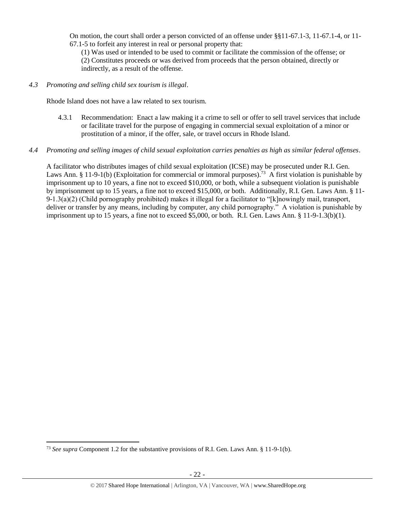On motion, the court shall order a person convicted of an offense under §§11-67.1-3, 11-67.1-4, or 11- 67.1-5 to forfeit any interest in real or personal property that:

(1) Was used or intended to be used to commit or facilitate the commission of the offense; or (2) Constitutes proceeds or was derived from proceeds that the person obtained, directly or indirectly, as a result of the offense.

*4.3 Promoting and selling child sex tourism is illegal*.

Rhode Island does not have a law related to sex tourism.

4.3.1 Recommendation: Enact a law making it a crime to sell or offer to sell travel services that include or facilitate travel for the purpose of engaging in commercial sexual exploitation of a minor or prostitution of a minor, if the offer, sale, or travel occurs in Rhode Island.

## *4.4 Promoting and selling images of child sexual exploitation carries penalties as high as similar federal offenses*.

A facilitator who distributes images of child sexual exploitation (ICSE) may be prosecuted under R.I. Gen. Laws Ann. § 11-9-1(b) (Exploitation for commercial or immoral purposes).<sup>73</sup> A first violation is punishable by imprisonment up to 10 years, a fine not to exceed \$10,000, or both, while a subsequent violation is punishable by imprisonment up to 15 years, a fine not to exceed \$15,000, or both. Additionally, R.I. Gen. Laws Ann. § 11-  $9-1.3(a)(2)$  (Child pornography prohibited) makes it illegal for a facilitator to "[k]nowingly mail, transport, deliver or transfer by any means, including by computer, any child pornography." A violation is punishable by imprisonment up to 15 years, a fine not to exceed \$5,000, or both. R.I. Gen. Laws Ann. § 11-9-1.3(b)(1).

 $\overline{a}$ 

<sup>73</sup> *See supra* Component 1.2 for the substantive provisions of R.I. Gen. Laws Ann. § 11-9-1(b).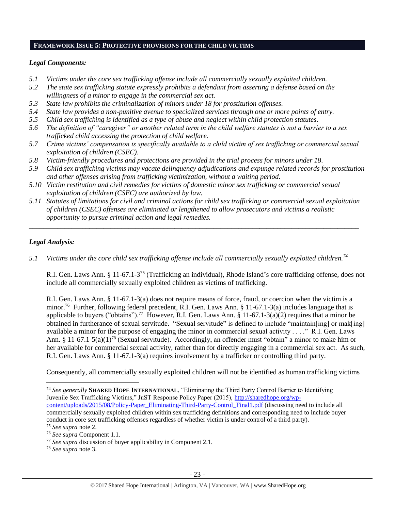#### **FRAMEWORK ISSUE 5: PROTECTIVE PROVISIONS FOR THE CHILD VICTIMS**

### *Legal Components:*

- *5.1 Victims under the core sex trafficking offense include all commercially sexually exploited children.*
- *5.2 The state sex trafficking statute expressly prohibits a defendant from asserting a defense based on the willingness of a minor to engage in the commercial sex act.*
- *5.3 State law prohibits the criminalization of minors under 18 for prostitution offenses.*
- *5.4 State law provides a non-punitive avenue to specialized services through one or more points of entry.*
- *5.5 Child sex trafficking is identified as a type of abuse and neglect within child protection statutes.*
- *5.6 The definition of "caregiver" or another related term in the child welfare statutes is not a barrier to a sex trafficked child accessing the protection of child welfare.*
- *5.7 Crime victims' compensation is specifically available to a child victim of sex trafficking or commercial sexual exploitation of children (CSEC).*
- *5.8 Victim-friendly procedures and protections are provided in the trial process for minors under 18.*
- *5.9 Child sex trafficking victims may vacate delinquency adjudications and expunge related records for prostitution and other offenses arising from trafficking victimization, without a waiting period.*
- *5.10 Victim restitution and civil remedies for victims of domestic minor sex trafficking or commercial sexual exploitation of children (CSEC) are authorized by law.*
- *5.11 Statutes of limitations for civil and criminal actions for child sex trafficking or commercial sexual exploitation of children (CSEC) offenses are eliminated or lengthened to allow prosecutors and victims a realistic opportunity to pursue criminal action and legal remedies.*

*\_\_\_\_\_\_\_\_\_\_\_\_\_\_\_\_\_\_\_\_\_\_\_\_\_\_\_\_\_\_\_\_\_\_\_\_\_\_\_\_\_\_\_\_\_\_\_\_\_\_\_\_\_\_\_\_\_\_\_\_\_\_\_\_\_\_\_\_\_\_\_\_\_\_\_\_\_\_\_\_\_\_\_\_\_\_\_\_\_\_\_\_\_*

# *Legal Analysis:*

 $\overline{\phantom{a}}$ 

*5.1 Victims under the core child sex trafficking offense include all commercially sexually exploited children.<sup>74</sup>*

R.I. Gen. Laws Ann. § 11-67.1-3<sup>75</sup> (Trafficking an individual), Rhode Island's core trafficking offense, does not include all commercially sexually exploited children as victims of trafficking.

R.I. Gen. Laws Ann. § 11-67.1-3(a) does not require means of force, fraud, or coercion when the victim is a minor.<sup>76</sup> Further, following federal precedent, R.I. Gen. Laws Ann. § 11-67.1-3(a) includes language that is applicable to buyers ("obtains").<sup>77</sup> However, R.I. Gen. Laws Ann. § 11-67.1-3(a)(2) requires that a minor be obtained in furtherance of sexual servitude. "Sexual servitude" is defined to include "maintain[ing] or mak[ing] available a minor for the purpose of engaging the minor in commercial sexual activity . . . ." R.I. Gen. Laws Ann. § 11-67.1-5(a)(1)<sup>78</sup> (Sexual servitude). Accordingly, an offender must "obtain" a minor to make him or her available for commercial sexual activity, rather than for directly engaging in a commercial sex act. As such, R.I. Gen. Laws Ann. § 11-67.1-3(a) requires involvement by a trafficker or controlling third party.

Consequently, all commercially sexually exploited children will not be identified as human trafficking victims

<sup>74</sup> *See generally* **SHARED HOPE INTERNATIONAL**, "Eliminating the Third Party Control Barrier to Identifying Juvenile Sex Trafficking Victims," JuST Response Policy Paper (2015), [http://sharedhope.org/wp](http://sharedhope.org/wp-content/uploads/2015/08/Policy-Paper_Eliminating-Third-Party-Control_Final1.pdf)[content/uploads/2015/08/Policy-Paper\\_Eliminating-Third-Party-Control\\_Final1.pdf](http://sharedhope.org/wp-content/uploads/2015/08/Policy-Paper_Eliminating-Third-Party-Control_Final1.pdf) (discussing need to include all commercially sexually exploited children within sex trafficking definitions and corresponding need to include buyer conduct in core sex trafficking offenses regardless of whether victim is under control of a third party).

<sup>78</sup> *See supra* note [3.](#page-1-0)

<sup>75</sup> *See supra* note [2.](#page-0-0)

<sup>76</sup> *See supra* Component 1.1.

<sup>77</sup> *See supra* discussion of buyer applicability in Component 2.1.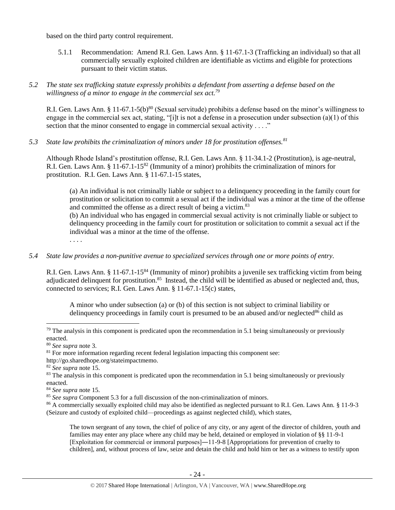based on the third party control requirement.

5.1.1 Recommendation: Amend R.I. Gen. Laws Ann. § 11-67.1-3 (Trafficking an individual) so that all commercially sexually exploited children are identifiable as victims and eligible for protections pursuant to their victim status.

# *5.2 The state sex trafficking statute expressly prohibits a defendant from asserting a defense based on the willingness of a minor to engage in the commercial sex act.<sup>79</sup>*

R.I. Gen. Laws Ann. § 11-67.1-5(b)<sup>80</sup> (Sexual servitude) prohibits a defense based on the minor's willingness to engage in the commercial sex act, stating, "[i]t is not a defense in a prosecution under subsection (a)(1) of this section that the minor consented to engage in commercial sexual activity . . . ."

*5.3 State law prohibits the criminalization of minors under 18 for prostitution offenses.<sup>81</sup>*

Although Rhode Island's prostitution offense, R.I. Gen. Laws Ann. § 11-34.1-2 (Prostitution), is age-neutral, R.I. Gen. Laws Ann. § 11-67.1-15<sup>82</sup> (Immunity of a minor) prohibits the criminalization of minors for prostitution. R.I. Gen. Laws Ann. § 11-67.1-15 states,

(a) An individual is not criminally liable or subject to a delinquency proceeding in the family court for prostitution or solicitation to commit a sexual act if the individual was a minor at the time of the offense and committed the offense as a direct result of being a victim.<sup>83</sup>

(b) An individual who has engaged in commercial sexual activity is not criminally liable or subject to delinquency proceeding in the family court for prostitution or solicitation to commit a sexual act if the individual was a minor at the time of the offense.

. . . .

## *5.4 State law provides a non-punitive avenue to specialized services through one or more points of entry.*

R.I. Gen. Laws Ann. § 11-67.1-15<sup>84</sup> (Immunity of minor) prohibits a juvenile sex trafficking victim from being adjudicated delinquent for prostitution.<sup>85</sup> Instead, the child will be identified as abused or neglected and, thus, connected to services; R.I. Gen. Laws Ann. § 11-67.1-15(c) states,

A minor who under subsection (a) or (b) of this section is not subject to criminal liability or delinquency proceedings in family court is presumed to be an abused and/or neglected $86$  child as

 $\overline{\phantom{a}}$ 

The town sergeant of any town, the chief of police of any city, or any agent of the director of children, youth and families may enter any place where any child may be held, detained or employed in violation of §§ 11-9-1 [Exploitation for commercial or immoral purposes]―11-9-8 [Appropriations for prevention of cruelty to children], and, without process of law, seize and detain the child and hold him or her as a witness to testify upon

 $79$  The analysis in this component is predicated upon the recommendation in 5.1 being simultaneously or previously enacted.

<sup>80</sup> *See supra* note [3.](#page-1-0)

 $81$  For more information regarding recent federal legislation impacting this component see:

http://go.sharedhope.org/stateimpactmemo.

<sup>82</sup> *See supra* note [15.](#page-4-0)

<sup>&</sup>lt;sup>83</sup> The analysis in this component is predicated upon the recommendation in 5.1 being simultaneously or previously enacted.

<sup>84</sup> *See supra* note [15.](#page-4-0)

<sup>85</sup> *See supra* Component 5.3 for a full discussion of the non-criminalization of minors.

<sup>86</sup> A commercially sexually exploited child may also be identified as neglected pursuant to R.I. Gen. Laws Ann. § 11-9-3 (Seizure and custody of exploited child—proceedings as against neglected child), which states,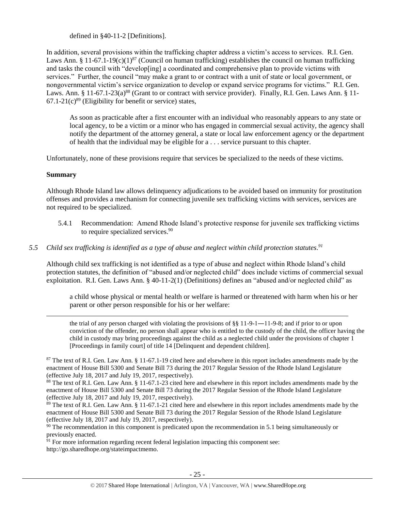defined in §40-11-2 [Definitions].

In addition, several provisions within the trafficking chapter address a victim's access to services. R.I. Gen. Laws Ann. § 11-67.1-19(c)(1)<sup>87</sup> (Council on human trafficking) establishes the council on human trafficking and tasks the council with "develop[ing] a coordinated and comprehensive plan to provide victims with services." Further, the council "may make a grant to or contract with a unit of state or local government, or nongovernmental victim's service organization to develop or expand service programs for victims." R.I. Gen. Laws. Ann. §  $11-67.1-23(a)^{88}$  (Grant to or contract with service provider). Finally, R.I. Gen. Laws Ann. § 11- $67.1-21(c)^{89}$  (Eligibility for benefit or service) states,

<span id="page-24-0"></span>As soon as practicable after a first encounter with an individual who reasonably appears to any state or local agency, to be a victim or a minor who has engaged in commercial sexual activity, the agency shall notify the department of the attorney general, a state or local law enforcement agency or the department of health that the individual may be eligible for a . . . service pursuant to this chapter.

Unfortunately, none of these provisions require that services be specialized to the needs of these victims.

# **Summary**

 $\overline{\phantom{a}}$ 

Although Rhode Island law allows delinquency adjudications to be avoided based on immunity for prostitution offenses and provides a mechanism for connecting juvenile sex trafficking victims with services, services are not required to be specialized.

- 5.4.1 Recommendation: Amend Rhode Island's protective response for juvenile sex trafficking victims to require specialized services.<sup>90</sup>
- *5.5 Child sex trafficking is identified as a type of abuse and neglect within child protection statutes. 91*

Although child sex trafficking is not identified as a type of abuse and neglect within Rhode Island's child protection statutes, the definition of "abused and/or neglected child" does include victims of commercial sexual exploitation. R.I. Gen. Laws Ann. § 40-11-2(1) (Definitions) defines an "abused and/or neglected child" as

a child whose physical or mental health or welfare is harmed or threatened with harm when his or her parent or other person responsible for his or her welfare:

the trial of any person charged with violating the provisions of  $\S$ § 11-9-1—11-9-8; and if prior to or upon conviction of the offender, no person shall appear who is entitled to the custody of the child, the officer having the child in custody may bring proceedings against the child as a neglected child under the provisions of chapter 1 [Proceedings in family court] of title 14 [Delinquent and dependent children].

 $87$  The text of R.I. Gen. Law Ann. § 11-67.1-19 cited here and elsewhere in this report includes amendments made by the enactment of House Bill 5300 and Senate Bill 73 during the 2017 Regular Session of the Rhode Island Legislature (effective July 18, 2017 and July 19, 2017, respectively).

<sup>88</sup> The text of R.I. Gen. Law Ann. § 11-67.1-23 cited here and elsewhere in this report includes amendments made by the enactment of House Bill 5300 and Senate Bill 73 during the 2017 Regular Session of the Rhode Island Legislature (effective July 18, 2017 and July 19, 2017, respectively).

 $89$  The text of R.I. Gen. Law Ann. § 11-67.1-21 cited here and elsewhere in this report includes amendments made by the enactment of House Bill 5300 and Senate Bill 73 during the 2017 Regular Session of the Rhode Island Legislature (effective July 18, 2017 and July 19, 2017, respectively).

<sup>90</sup> The recommendation in this component is predicated upon the recommendation in 5.1 being simultaneously or previously enacted.

 $\frac{91}{91}$  For more information regarding recent federal legislation impacting this component see: http://go.sharedhope.org/stateimpactmemo.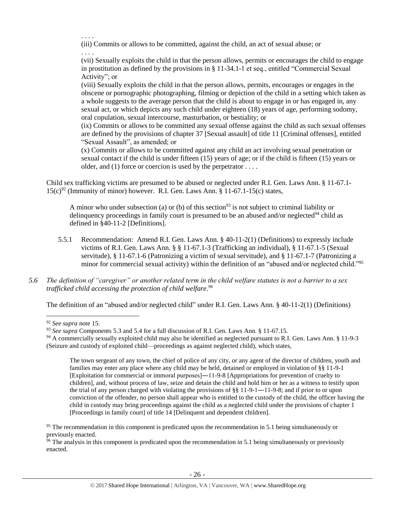. . . .

(iii) Commits or allows to be committed, against the child, an act of sexual abuse; or . . . .

(vii) Sexually exploits the child in that the person allows, permits or encourages the child to engage in prostitution as defined by the provisions in § 11-34.1-1 et seq., entitled "Commercial Sexual Activity"; or

(viii) Sexually exploits the child in that the person allows, permits, encourages or engages in the obscene or pornographic photographing, filming or depiction of the child in a setting which taken as a whole suggests to the average person that the child is about to engage in or has engaged in, any sexual act, or which depicts any such child under eighteen (18) years of age, performing sodomy, oral copulation, sexual intercourse, masturbation, or bestiality; or

(ix) Commits or allows to be committed any sexual offense against the child as such sexual offenses are defined by the provisions of chapter 37 [Sexual assault] of title 11 [Criminal offenses], entitled "Sexual Assault", as amended; or

(x) Commits or allows to be committed against any child an act involving sexual penetration or sexual contact if the child is under fifteen (15) years of age; or if the child is fifteen (15) years or older, and (1) force or coercion is used by the perpetrator  $\dots$ .

Child sex trafficking victims are presumed to be abused or neglected under R.I. Gen. Laws Ann. § 11-67.1-  $15(c)^{92}$  (Immunity of minor) however. R.I. Gen. Laws Ann. § 11-67.1-15(c) states,

A minor who under subsection (a) or (b) of this section<sup>93</sup> is not subject to criminal liability or delinquency proceedings in family court is presumed to be an abused and/or neglected $94$  child as defined in §40-11-2 [Definitions].

- 5.5.1 Recommendation: Amend R.I. Gen. Laws Ann. § 40-11-2(1) (Definitions) to expressly include victims of R.I. Gen. Laws Ann. § § 11-67.1-3 (Trafficking an individual), § 11-67.1-5 (Sexual servitude), § 11-67.1-6 (Patronizing a victim of sexual servitude), and § 11-67.1-7 (Patronizing a minor for commercial sexual activity) within the definition of an "abused and/or neglected child."<sup>95</sup>
- *5.6 The definition of "caregiver" or another related term in the child welfare statutes is not a barrier to a sex trafficked child accessing the protection of child welfare. 96*

The definition of an "abused and/or neglected child" under R.I. Gen. Laws Ann. § 40-11-2(1) (Definitions)

 $\overline{\phantom{a}}$ 

The town sergeant of any town, the chief of police of any city, or any agent of the director of children, youth and families may enter any place where any child may be held, detained or employed in violation of §§ 11-9-1 [Exploitation for commercial or immoral purposes]―11-9-8 [Appropriations for prevention of cruelty to children], and, without process of law, seize and detain the child and hold him or her as a witness to testify upon the trial of any person charged with violating the provisions of §§ 11-9-1―11-9-8; and if prior to or upon conviction of the offender, no person shall appear who is entitled to the custody of the child, the officer having the child in custody may bring proceedings against the child as a neglected child under the provisions of chapter 1 [Proceedings in family court] of title 14 [Delinquent and dependent children].

 $\frac{96}{96}$  The analysis in this component is predicated upon the recommendation in 5.1 being simultaneously or previously enacted.

<sup>92</sup> *See supra* note [15.](#page-4-0)

<sup>93</sup> *See supra* Components 5.3 and 5.4 for a full discussion of R.I. Gen. Laws Ann. § 11-67.15.

<sup>94</sup> A commercially sexually exploited child may also be identified as neglected pursuant to R.I. Gen. Laws Ann. § 11-9-3 (Seizure and custody of exploited child—proceedings as against neglected child), which states,

<sup>&</sup>lt;sup>95</sup> The recommendation in this component is predicated upon the recommendation in 5.1 being simultaneously or previously enacted.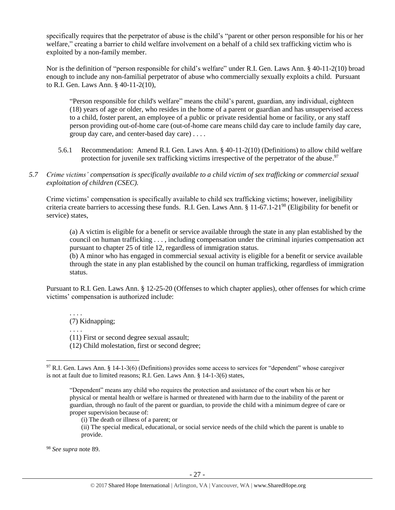specifically requires that the perpetrator of abuse is the child's "parent or other person responsible for his or her welfare," creating a barrier to child welfare involvement on a behalf of a child sex trafficking victim who is exploited by a non-family member.

Nor is the definition of "person responsible for child's welfare" under R.I. Gen. Laws Ann. § 40-11-2(10) broad enough to include any non-familial perpetrator of abuse who commercially sexually exploits a child. Pursuant to R.I. Gen. Laws Ann. § 40-11-2(10),

"Person responsible for child's welfare" means the child's parent, guardian, any individual, eighteen (18) years of age or older, who resides in the home of a parent or guardian and has unsupervised access to a child, foster parent, an employee of a public or private residential home or facility, or any staff person providing out-of-home care (out-of-home care means child day care to include family day care, group day care, and center-based day care) . . . .

- 5.6.1 Recommendation: Amend R.I. Gen. Laws Ann. § 40-11-2(10) (Definitions) to allow child welfare protection for juvenile sex trafficking victims irrespective of the perpetrator of the abuse.<sup>97</sup>
- *5.7 Crime victims' compensation is specifically available to a child victim of sex trafficking or commercial sexual exploitation of children (CSEC).*

Crime victims' compensation is specifically available to child sex trafficking victims; however, ineligibility criteria create barriers to accessing these funds. R.I. Gen. Laws Ann. § 11-67.1-21<sup>98</sup> (Eligibility for benefit or service) states,

(a) A victim is eligible for a benefit or service available through the state in any plan established by the council on human trafficking . . . , including compensation under the criminal injuries compensation act pursuant to chapter 25 of title 12, regardless of immigration status.

(b) A minor who has engaged in commercial sexual activity is eligible for a benefit or service available through the state in any plan established by the council on human trafficking, regardless of immigration status.

Pursuant to R.I. Gen. Laws Ann. § 12-25-20 (Offenses to which chapter applies), other offenses for which crime victims' compensation is authorized include:

. . . . (7) Kidnapping;

. . . .

 $\overline{\phantom{a}}$ 

- (11) First or second degree sexual assault;
- (12) Child molestation, first or second degree;

<sup>98</sup> *See supra* note [89.](#page-24-0)

<sup>97</sup> R.I. Gen. Laws Ann. § 14-1-3(6) (Definitions) provides some access to services for "dependent" whose caregiver is not at fault due to limited reasons; R.I. Gen. Laws Ann. § 14-1-3(6) states,

<sup>&</sup>quot;Dependent" means any child who requires the protection and assistance of the court when his or her physical or mental health or welfare is harmed or threatened with harm due to the inability of the parent or guardian, through no fault of the parent or guardian, to provide the child with a minimum degree of care or proper supervision because of:

<sup>(</sup>i) The death or illness of a parent; or

<sup>(</sup>ii) The special medical, educational, or social service needs of the child which the parent is unable to provide.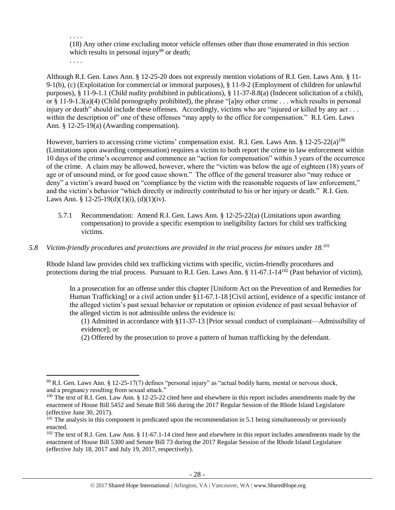. . . . (18) Any other crime excluding motor vehicle offenses other than those enumerated in this section which results in personal injury<sup>99</sup> or death;

. . . .

 $\overline{a}$ 

Although R.I. Gen. Laws Ann. § 12-25-20 does not expressly mention violations of R.I. Gen. Laws Ann. § 11- 9-1(b), (c) (Exploitation for commercial or immoral purposes), § 11-9-2 (Employment of children for unlawful purposes), § 11-9-1.1 (Child nudity prohibited in publications), § 11-37-8.8(a) (Indecent solicitation of a child), or § 11-9-1.3(a)(4) (Child pornography prohibited), the phrase "[a]ny other crime . . . which results in personal injury or death" should include these offenses. Accordingly, victims who are "injured or killed by any act... within the description of " one of these offenses "may apply to the office for compensation." R.I. Gen. Laws Ann. § 12-25-19(a) (Awarding compensation).

However, barriers to accessing crime victims' compensation exist. R.I. Gen. Laws Ann. § 12-25-22(a)<sup>100</sup> (Limitations upon awarding compensation) requires a victim to both report the crime to law enforcement within 10 days of the crime's occurrence and commence an "action for compensation" within 3 years of the occurrence of the crime. A claim may be allowed, however, where the "victim was below the age of eighteen (18) years of age or of unsound mind, or for good cause shown." The office of the general treasurer also "may reduce or deny" a victim's award based on "compliance by the victim with the reasonable requests of law enforcement," and the victim's behavior "which directly or indirectly contributed to his or her injury or death." R.I. Gen. Laws Ann. § 12-25-19(d)(1)(i), (d)(1)(iv).

5.7.1 Recommendation: Amend R.I. Gen. Laws Ann. § 12-25-22(a) (Limitations upon awarding compensation) to provide a specific exemption to ineligibility factors for child sex trafficking victims.

# *5.8 Victim-friendly procedures and protections are provided in the trial process for minors under 18. 101*

Rhode Island law provides child sex trafficking victims with specific, victim-friendly procedures and protections during the trial process. Pursuant to R.I. Gen. Laws Ann. § 11-67.1-14<sup>102</sup> (Past behavior of victim),

In a prosecution for an offense under this chapter [Uniform Act on the Prevention of and Remedies for Human Trafficking] or a civil action under §11-67.1-18 [Civil action], evidence of a specific instance of the alleged victim's past sexual behavior or reputation or opinion evidence of past sexual behavior of the alleged victim is not admissible unless the evidence is:

(1) Admitted in accordance with §11-37-13 [Prior sexual conduct of complainant—Admissibility of evidence]; or

(2) Offered by the prosecution to prove a pattern of human trafficking by the defendant.

<sup>99</sup> R.I. Gen. Laws Ann. § 12-25-17(7) defines "personal injury" as "actual bodily harm, mental or nervous shock, and a pregnancy resulting from sexual attack."

 $100$  The text of R.I. Gen. Law Ann. § 12-25-22 cited here and elsewhere in this report includes amendments made by the enactment of House Bill 5452 and Senate Bill 566 during the 2017 Regular Session of the Rhode Island Legislature (effective June 30, 2017).

<sup>&</sup>lt;sup>101</sup> The analysis in this component is predicated upon the recommendation in 5.1 being simultaneously or previously enacted.

 $102$  The text of R.I. Gen. Law Ann. § 11-67.1-14 cited here and elsewhere in this report includes amendments made by the enactment of House Bill 5300 and Senate Bill 73 during the 2017 Regular Session of the Rhode Island Legislature (effective July 18, 2017 and July 19, 2017, respectively).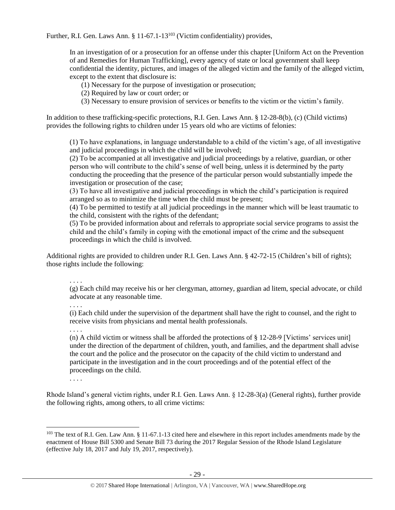Further, R.I. Gen. Laws Ann. § 11-67.1-13<sup>103</sup> (Victim confidentiality) provides,

In an investigation of or a prosecution for an offense under this chapter [Uniform Act on the Prevention of and Remedies for Human Trafficking], every agency of state or local government shall keep confidential the identity, pictures, and images of the alleged victim and the family of the alleged victim, except to the extent that disclosure is:

(1) Necessary for the purpose of investigation or prosecution;

- (2) Required by law or court order; or
- (3) Necessary to ensure provision of services or benefits to the victim or the victim's family.

In addition to these trafficking-specific protections, R.I. Gen. Laws Ann. § 12-28-8(b), (c) (Child victims) provides the following rights to children under 15 years old who are victims of felonies:

(1) To have explanations, in language understandable to a child of the victim's age, of all investigative and judicial proceedings in which the child will be involved;

(2) To be accompanied at all investigative and judicial proceedings by a relative, guardian, or other person who will contribute to the child's sense of well being, unless it is determined by the party conducting the proceeding that the presence of the particular person would substantially impede the investigation or prosecution of the case;

(3) To have all investigative and judicial proceedings in which the child's participation is required arranged so as to minimize the time when the child must be present;

(4) To be permitted to testify at all judicial proceedings in the manner which will be least traumatic to the child, consistent with the rights of the defendant;

(5) To be provided information about and referrals to appropriate social service programs to assist the child and the child's family in coping with the emotional impact of the crime and the subsequent proceedings in which the child is involved.

Additional rights are provided to children under R.I. Gen. Laws Ann. § 42-72-15 (Children's bill of rights); those rights include the following:

. . . .

(g) Each child may receive his or her clergyman, attorney, guardian ad litem, special advocate, or child advocate at any reasonable time.

. . . .

(i) Each child under the supervision of the department shall have the right to counsel, and the right to receive visits from physicians and mental health professionals.

. . . .

(n) A child victim or witness shall be afforded the protections of § 12-28-9 [Victims' services unit] under the direction of the department of children, youth, and families, and the department shall advise the court and the police and the prosecutor on the capacity of the child victim to understand and participate in the investigation and in the court proceedings and of the potential effect of the proceedings on the child.

. . . .

 $\overline{\phantom{a}}$ 

Rhode Island's general victim rights, under R.I. Gen. Laws Ann. § 12-28-3(a) (General rights), further provide the following rights, among others, to all crime victims:

 $103$  The text of R.I. Gen. Law Ann. § 11-67.1-13 cited here and elsewhere in this report includes amendments made by the enactment of House Bill 5300 and Senate Bill 73 during the 2017 Regular Session of the Rhode Island Legislature (effective July 18, 2017 and July 19, 2017, respectively).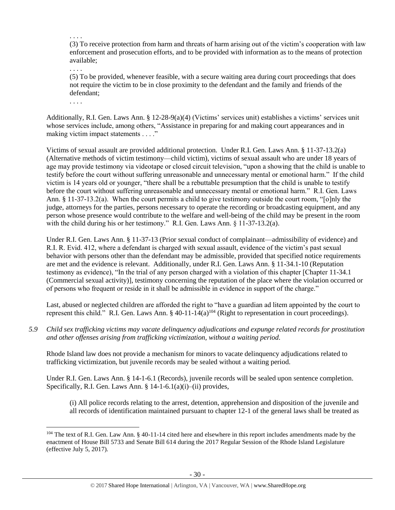. . . . (3) To receive protection from harm and threats of harm arising out of the victim's cooperation with law enforcement and prosecution efforts, and to be provided with information as to the means of protection available;

(5) To be provided, whenever feasible, with a secure waiting area during court proceedings that does not require the victim to be in close proximity to the defendant and the family and friends of the defendant;

. . . .

 $\overline{\phantom{a}}$ 

. . . .

Additionally, R.I. Gen. Laws Ann. § 12-28-9(a)(4) (Victims' services unit) establishes a victims' services unit whose services include, among others, "Assistance in preparing for and making court appearances and in making victim impact statements . . . ."

Victims of sexual assault are provided additional protection. Under R.I. Gen. Laws Ann. § 11-37-13.2(a) (Alternative methods of victim testimony—child victim), victims of sexual assault who are under 18 years of age may provide testimony via videotape or closed circuit television, "upon a showing that the child is unable to testify before the court without suffering unreasonable and unnecessary mental or emotional harm." If the child victim is 14 years old or younger, "there shall be a rebuttable presumption that the child is unable to testify before the court without suffering unreasonable and unnecessary mental or emotional harm." R.I. Gen. Laws Ann. § 11-37-13.2(a). When the court permits a child to give testimony outside the court room, "[o]nly the judge, attorneys for the parties, persons necessary to operate the recording or broadcasting equipment, and any person whose presence would contribute to the welfare and well-being of the child may be present in the room with the child during his or her testimony." R.I. Gen. Laws Ann. § 11-37-13.2(a).

Under R.I. Gen. Laws Ann. § 11-37-13 (Prior sexual conduct of complainant—admissibility of evidence) and R.I. R. Evid. 412, where a defendant is charged with sexual assault, evidence of the victim's past sexual behavior with persons other than the defendant may be admissible, provided that specified notice requirements are met and the evidence is relevant. Additionally, under R.I. Gen. Laws Ann. § 11-34.1-10 (Reputation testimony as evidence), "In the trial of any person charged with a violation of this chapter [Chapter 11-34.1 (Commercial sexual activity)], testimony concerning the reputation of the place where the violation occurred or of persons who frequent or reside in it shall be admissible in evidence in support of the charge."

Last, abused or neglected children are afforded the right to "have a guardian ad litem appointed by the court to represent this child." R.I. Gen. Laws Ann. § 40-11-14(a)<sup>104</sup> (Right to representation in court proceedings).

*5.9 Child sex trafficking victims may vacate delinquency adjudications and expunge related records for prostitution and other offenses arising from trafficking victimization, without a waiting period.*

Rhode Island law does not provide a mechanism for minors to vacate delinquency adjudications related to trafficking victimization, but juvenile records may be sealed without a waiting period.

Under R.I. Gen. Laws Ann. § 14-1-6.1 (Records), juvenile records will be sealed upon sentence completion. Specifically, R.I. Gen. Laws Ann. §  $14-1-6.1(a)(i)$ –(ii) provides,

(i) All police records relating to the arrest, detention, apprehension and disposition of the juvenile and all records of identification maintained pursuant to chapter 12-1 of the general laws shall be treated as

 $104$  The text of R.I. Gen. Law Ann. § 40-11-14 cited here and elsewhere in this report includes amendments made by the enactment of House Bill 5733 and Senate Bill 614 during the 2017 Regular Session of the Rhode Island Legislature (effective July 5, 2017).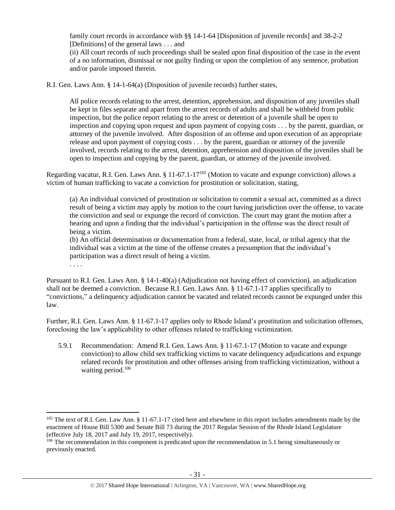family court records in accordance with §§ 14-1-64 [Disposition of juvenile records] and 38-2-2 [Definitions] of the general laws . . . and

(ii) All court records of such proceedings shall be sealed upon final disposition of the case in the event of a no information, dismissal or not guilty finding or upon the completion of any sentence, probation and/or parole imposed therein.

R.I. Gen. Laws Ann. § 14-1-64(a) (Disposition of juvenile records) further states,

All police records relating to the arrest, detention, apprehension, and disposition of any juveniles shall be kept in files separate and apart from the arrest records of adults and shall be withheld from public inspection, but the police report relating to the arrest or detention of a juvenile shall be open to inspection and copying upon request and upon payment of copying costs . . . by the parent, guardian, or attorney of the juvenile involved. After disposition of an offense and upon execution of an appropriate release and upon payment of copying costs . . . by the parent, guardian or attorney of the juvenile involved, records relating to the arrest, detention, apprehension and disposition of the juveniles shall be open to inspection and copying by the parent, guardian, or attorney of the juvenile involved.

Regarding vacatur, R.I. Gen. Laws Ann. § 11-67.1-17<sup>105</sup> (Motion to vacate and expunge conviction) allows a victim of human trafficking to vacate a conviction for prostitution or solicitation, stating,

(a) An individual convicted of prostitution or solicitation to commit a sexual act, committed as a direct result of being a victim may apply by motion to the court having jurisdiction over the offense, to vacate the conviction and seal or expunge the record of conviction. The court may grant the motion after a hearing and upon a finding that the individual's participation in the offense was the direct result of being a victim.

(b) An official determination or documentation from a federal, state, local, or tribal agency that the individual was a victim at the time of the offense creates a presumption that the individual's participation was a direct result of being a victim.

. . . .

 $\overline{\phantom{a}}$ 

Pursuant to R.I. Gen. Laws Ann. § 14-1-40(a) (Adjudication not having effect of conviction), an adjudication shall not be deemed a conviction. Because R.I. Gen. Laws Ann. § 11-67.1-17 applies specifically to "convictions," a delinquency adjudication cannot be vacated and related records cannot be expunged under this law.

Further, R.I. Gen. Laws Ann. § 11-67.1-17 applies only to Rhode Island's prostitution and solicitation offenses, foreclosing the law's applicability to other offenses related to trafficking victimization.

5.9.1 Recommendation: Amend R.I. Gen. Laws Ann. § 11-67.1-17 (Motion to vacate and expunge conviction) to allow child sex trafficking victims to vacate delinquency adjudications and expunge related records for prostitution and other offenses arising from trafficking victimization, without a waiting period. 106

 $105$  The text of R.I. Gen. Law Ann. § 11-67.1-17 cited here and elsewhere in this report includes amendments made by the enactment of House Bill 5300 and Senate Bill 73 during the 2017 Regular Session of the Rhode Island Legislature (effective July 18, 2017 and July 19, 2017, respectively).

<sup>&</sup>lt;sup>106</sup> The recommendation in this component is predicated upon the recommendation in 5.1 being simultaneously or previously enacted.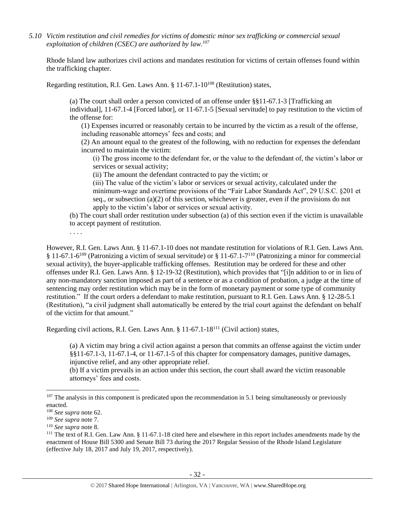*5.10 Victim restitution and civil remedies for victims of domestic minor sex trafficking or commercial sexual exploitation of children (CSEC) are authorized by law.<sup>107</sup>*

Rhode Island law authorizes civil actions and mandates restitution for victims of certain offenses found within the trafficking chapter.

Regarding restitution, R.I. Gen. Laws Ann. § 11-67.1-10<sup>108</sup> (Restitution) states,

(a) The court shall order a person convicted of an offense under §§11-67.1-3 [Trafficking an individual], 11-67.1-4 [Forced labor], or 11-67.1-5 [Sexual servitude] to pay restitution to the victim of the offense for:

(1) Expenses incurred or reasonably certain to be incurred by the victim as a result of the offense, including reasonable attorneys' fees and costs; and

(2) An amount equal to the greatest of the following, with no reduction for expenses the defendant incurred to maintain the victim:

(i) The gross income to the defendant for, or the value to the defendant of, the victim's labor or services or sexual activity;

(ii) The amount the defendant contracted to pay the victim; or

(iii) The value of the victim's labor or services or sexual activity, calculated under the minimum-wage and overtime provisions of the "Fair Labor Standards Act", 29 U.S.C. §201 et seq., or subsection (a)(2) of this section, whichever is greater, even if the provisions do not apply to the victim's labor or services or sexual activity.

(b) The court shall order restitution under subsection (a) of this section even if the victim is unavailable to accept payment of restitution.

. . . .

However, R.I. Gen. Laws Ann. § 11-67.1-10 does not mandate restitution for violations of R.I. Gen. Laws Ann. § 11-67.1-6<sup>109</sup> (Patronizing a victim of sexual servitude) or § 11-67.1-7<sup>110</sup> (Patronizing a minor for commercial sexual activity), the buyer-applicable trafficking offenses. Restitution may be ordered for these and other offenses under R.I. Gen. Laws Ann. § 12-19-32 (Restitution), which provides that "[i]n addition to or in lieu of any non-mandatory sanction imposed as part of a sentence or as a condition of probation, a judge at the time of sentencing may order restitution which may be in the form of monetary payment or some type of community restitution." If the court orders a defendant to make restitution, pursuant to R.I. Gen. Laws Ann. § 12-28-5.1 (Restitution), "a civil judgment shall automatically be entered by the trial court against the defendant on behalf of the victim for that amount."

Regarding civil actions, R.I. Gen. Laws Ann. § 11-67.1-18<sup>111</sup> (Civil action) states,

<span id="page-31-0"></span>(a) A victim may bring a civil action against a person that commits an offense against the victim under §§11-67.1-3, 11-67.1-4, or 11-67.1-5 of this chapter for compensatory damages, punitive damages, injunctive relief, and any other appropriate relief.

(b) If a victim prevails in an action under this section, the court shall award the victim reasonable attorneys' fees and costs.

 $\overline{\phantom{a}}$ 

 $107$  The analysis in this component is predicated upon the recommendation in 5.1 being simultaneously or previously enacted.

<sup>108</sup> *See supra* not[e 62.](#page-15-0)

<sup>109</sup> *See supra* not[e 7.](#page-2-1)

<sup>110</sup> *See supra* not[e 8.](#page-2-0)

 $111$  The text of R.I. Gen. Law Ann. § 11-67.1-18 cited here and elsewhere in this report includes amendments made by the enactment of House Bill 5300 and Senate Bill 73 during the 2017 Regular Session of the Rhode Island Legislature (effective July 18, 2017 and July 19, 2017, respectively).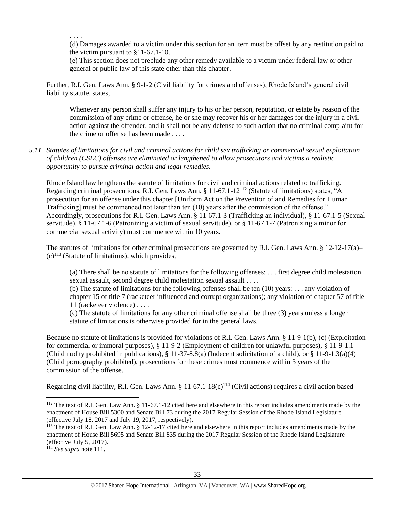. . . .

(d) Damages awarded to a victim under this section for an item must be offset by any restitution paid to the victim pursuant to §11-67.1-10.

(e) This section does not preclude any other remedy available to a victim under federal law or other general or public law of this state other than this chapter.

Further, R.I. Gen. Laws Ann. § 9-1-2 (Civil liability for crimes and offenses), Rhode Island's general civil liability statute, states,

Whenever any person shall suffer any injury to his or her person, reputation, or estate by reason of the commission of any crime or offense, he or she may recover his or her damages for the injury in a civil action against the offender, and it shall not be any defense to such action that no criminal complaint for the crime or offense has been made . . . .

## *5.11 Statutes of limitations for civil and criminal actions for child sex trafficking or commercial sexual exploitation of children (CSEC) offenses are eliminated or lengthened to allow prosecutors and victims a realistic opportunity to pursue criminal action and legal remedies.*

Rhode Island law lengthens the statute of limitations for civil and criminal actions related to trafficking. Regarding criminal prosecutions, R.I. Gen. Laws Ann. § 11-67.1-12<sup>112</sup> (Statute of limitations) states, "A prosecution for an offense under this chapter [Uniform Act on the Prevention of and Remedies for Human Trafficking] must be commenced not later than ten (10) years after the commission of the offense." Accordingly, prosecutions for R.I. Gen. Laws Ann. § 11-67.1-3 (Trafficking an individual), § 11-67.1-5 (Sexual servitude), § 11-67.1-6 (Patronizing a victim of sexual servitude), or § 11-67.1-7 (Patronizing a minor for commercial sexual activity) must commence within 10 years.

The statutes of limitations for other criminal prosecutions are governed by R.I. Gen. Laws Ann. § 12-12-17(a)–  $(c)^{113}$  (Statute of limitations), which provides,

(a) There shall be no statute of limitations for the following offenses: . . . first degree child molestation sexual assault, second degree child molestation sexual assault . . . .

(b) The statute of limitations for the following offenses shall be ten (10) years: . . . any violation of chapter 15 of title 7 (racketeer influenced and corrupt organizations); any violation of chapter 57 of title 11 (racketeer violence) . . . .

(c) The statute of limitations for any other criminal offense shall be three (3) years unless a longer statute of limitations is otherwise provided for in the general laws.

Because no statute of limitations is provided for violations of R.I. Gen. Laws Ann. § 11-9-1(b), (c) (Exploitation for commercial or immoral purposes), § 11-9-2 (Employment of children for unlawful purposes), § 11-9-1.1 (Child nudity prohibited in publications),  $\S 11-37-8.8(a)$  (Indecent solicitation of a child), or  $\S 11-9-1.3(a)(4)$ (Child pornography prohibited), prosecutions for these crimes must commence within 3 years of the commission of the offense.

Regarding civil liability, R.I. Gen. Laws Ann. § 11-67.1-18(c)<sup>114</sup> (Civil actions) requires a civil action based

 $\overline{a}$ 

<sup>&</sup>lt;sup>112</sup> The text of R.I. Gen. Law Ann. § 11-67.1-12 cited here and elsewhere in this report includes amendments made by the enactment of House Bill 5300 and Senate Bill 73 during the 2017 Regular Session of the Rhode Island Legislature (effective July 18, 2017 and July 19, 2017, respectively).

<sup>&</sup>lt;sup>113</sup> The text of R.I. Gen. Law Ann. § 12-12-17 cited here and elsewhere in this report includes amendments made by the enactment of House Bill 5695 and Senate Bill 835 during the 2017 Regular Session of the Rhode Island Legislature (effective July 5, 2017).

<sup>114</sup> *See supra* not[e 111.](#page-31-0)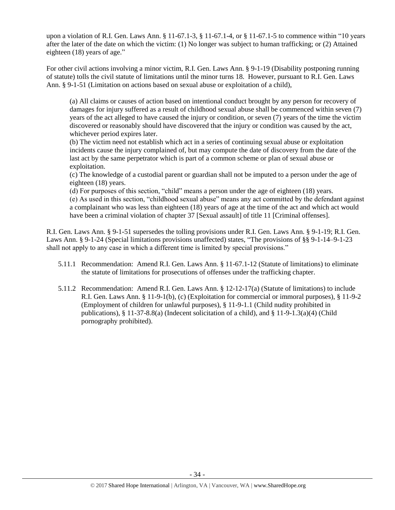upon a violation of R.I. Gen. Laws Ann. § 11-67.1-3, § 11-67.1-4, or § 11-67.1-5 to commence within "10 years after the later of the date on which the victim: (1) No longer was subject to human trafficking; or (2) Attained eighteen (18) years of age."

For other civil actions involving a minor victim, R.I. Gen. Laws Ann. § 9-1-19 (Disability postponing running of statute) tolls the civil statute of limitations until the minor turns 18. However, pursuant to R.I. Gen. Laws Ann. § 9-1-51 (Limitation on actions based on sexual abuse or exploitation of a child),

(a) All claims or causes of action based on intentional conduct brought by any person for recovery of damages for injury suffered as a result of childhood sexual abuse shall be commenced within seven (7) years of the act alleged to have caused the injury or condition, or seven (7) years of the time the victim discovered or reasonably should have discovered that the injury or condition was caused by the act, whichever period expires later.

(b) The victim need not establish which act in a series of continuing sexual abuse or exploitation incidents cause the injury complained of, but may compute the date of discovery from the date of the last act by the same perpetrator which is part of a common scheme or plan of sexual abuse or exploitation.

(c) The knowledge of a custodial parent or guardian shall not be imputed to a person under the age of eighteen (18) years.

(d) For purposes of this section, "child" means a person under the age of eighteen (18) years. (e) As used in this section, "childhood sexual abuse" means any act committed by the defendant against a complainant who was less than eighteen (18) years of age at the time of the act and which act would have been a criminal violation of chapter 37 [Sexual assault] of title 11 [Criminal offenses].

R.I. Gen. Laws Ann. § 9-1-51 supersedes the tolling provisions under R.I. Gen. Laws Ann. § 9-1-19; R.I. Gen. Laws Ann. § 9-1-24 (Special limitations provisions unaffected) states, "The provisions of §§ 9-1-14–9-1-23 shall not apply to any case in which a different time is limited by special provisions."

- 5.11.1 Recommendation: Amend R.I. Gen. Laws Ann. § 11-67.1-12 (Statute of limitations) to eliminate the statute of limitations for prosecutions of offenses under the trafficking chapter.
- 5.11.2 Recommendation: Amend R.I. Gen. Laws Ann. § 12-12-17(a) (Statute of limitations) to include R.I. Gen. Laws Ann. § 11-9-1(b), (c) (Exploitation for commercial or immoral purposes), § 11-9-2 (Employment of children for unlawful purposes), § 11-9-1.1 (Child nudity prohibited in publications), § 11-37-8.8(a) (Indecent solicitation of a child), and § 11-9-1.3(a)(4) (Child pornography prohibited).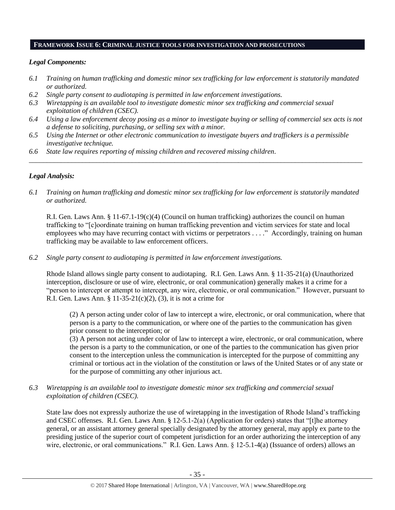#### **FRAMEWORK ISSUE 6: CRIMINAL JUSTICE TOOLS FOR INVESTIGATION AND PROSECUTIONS**

### *Legal Components:*

- *6.1 Training on human trafficking and domestic minor sex trafficking for law enforcement is statutorily mandated or authorized.*
- *6.2 Single party consent to audiotaping is permitted in law enforcement investigations.*
- *6.3 Wiretapping is an available tool to investigate domestic minor sex trafficking and commercial sexual exploitation of children (CSEC).*
- *6.4 Using a law enforcement decoy posing as a minor to investigate buying or selling of commercial sex acts is not a defense to soliciting, purchasing, or selling sex with a minor.*

*\_\_\_\_\_\_\_\_\_\_\_\_\_\_\_\_\_\_\_\_\_\_\_\_\_\_\_\_\_\_\_\_\_\_\_\_\_\_\_\_\_\_\_\_\_\_\_\_\_\_\_\_\_\_\_\_\_\_\_\_\_\_\_\_\_\_\_\_\_\_\_\_\_\_\_\_\_\_\_\_\_\_\_\_\_\_\_\_\_\_\_\_\_\_*

- *6.5 Using the Internet or other electronic communication to investigate buyers and traffickers is a permissible investigative technique.*
- *6.6 State law requires reporting of missing children and recovered missing children.*

## *Legal Analysis:*

*6.1 Training on human trafficking and domestic minor sex trafficking for law enforcement is statutorily mandated or authorized.*

R.I. Gen. Laws Ann. § 11-67.1-19(c)(4) (Council on human trafficking) authorizes the council on human trafficking to "[c]oordinate training on human trafficking prevention and victim services for state and local employees who may have recurring contact with victims or perpetrators . . . ." Accordingly, training on human trafficking may be available to law enforcement officers.

*6.2 Single party consent to audiotaping is permitted in law enforcement investigations.*

Rhode Island allows single party consent to audiotaping. R.I. Gen. Laws Ann. § 11-35-21(a) (Unauthorized interception, disclosure or use of wire, electronic, or oral communication) generally makes it a crime for a "person to intercept or attempt to intercept, any wire, electronic, or oral communication." However, pursuant to R.I. Gen. Laws Ann. §  $11-35-21(c)(2)$ , (3), it is not a crime for

(2) A person acting under color of law to intercept a wire, electronic, or oral communication, where that person is a party to the communication, or where one of the parties to the communication has given prior consent to the interception; or

(3) A person not acting under color of law to intercept a wire, electronic, or oral communication, where the person is a party to the communication, or one of the parties to the communication has given prior consent to the interception unless the communication is intercepted for the purpose of committing any criminal or tortious act in the violation of the constitution or laws of the United States or of any state or for the purpose of committing any other injurious act.

*6.3 Wiretapping is an available tool to investigate domestic minor sex trafficking and commercial sexual exploitation of children (CSEC).* 

State law does not expressly authorize the use of wiretapping in the investigation of Rhode Island's trafficking and CSEC offenses. R.I. Gen. Laws Ann. § 12-5.1-2(a) (Application for orders) states that "[t]he attorney general, or an assistant attorney general specially designated by the attorney general, may apply ex parte to the presiding justice of the superior court of competent jurisdiction for an order authorizing the interception of any wire, electronic, or oral communications." R.I. Gen. Laws Ann. § 12-5.1-4(a) (Issuance of orders) allows an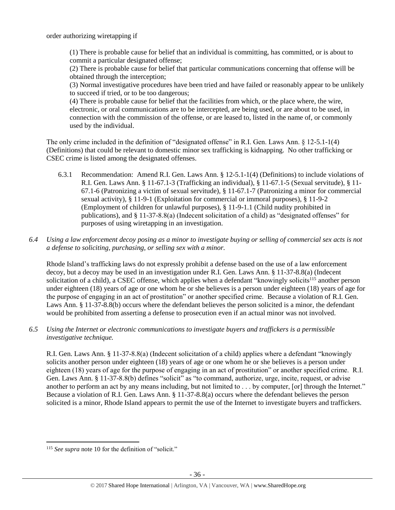order authorizing wiretapping if

(1) There is probable cause for belief that an individual is committing, has committed, or is about to commit a particular designated offense;

(2) There is probable cause for belief that particular communications concerning that offense will be obtained through the interception;

(3) Normal investigative procedures have been tried and have failed or reasonably appear to be unlikely to succeed if tried, or to be too dangerous;

(4) There is probable cause for belief that the facilities from which, or the place where, the wire, electronic, or oral communications are to be intercepted, are being used, or are about to be used, in connection with the commission of the offense, or are leased to, listed in the name of, or commonly used by the individual.

The only crime included in the definition of "designated offense" in R.I. Gen. Laws Ann. § 12-5.1-1(4) (Definitions) that could be relevant to domestic minor sex trafficking is kidnapping. No other trafficking or CSEC crime is listed among the designated offenses.

- 6.3.1 Recommendation: Amend R.I. Gen. Laws Ann. § 12-5.1-1(4) (Definitions) to include violations of R.I. Gen. Laws Ann. § 11-67.1-3 (Trafficking an individual), § 11-67.1-5 (Sexual servitude), § 11- 67.1-6 (Patronizing a victim of sexual servitude), § 11-67.1-7 (Patronizing a minor for commercial sexual activity), § 11-9-1 (Exploitation for commercial or immoral purposes), § 11-9-2 (Employment of children for unlawful purposes), § 11-9-1.1 (Child nudity prohibited in publications), and § 11-37-8.8(a) (Indecent solicitation of a child) as "designated offenses" for purposes of using wiretapping in an investigation.
- *6.4 Using a law enforcement decoy posing as a minor to investigate buying or selling of commercial sex acts is not a defense to soliciting, purchasing, or selling sex with a minor.*

Rhode Island's trafficking laws do not expressly prohibit a defense based on the use of a law enforcement decoy, but a decoy may be used in an investigation under R.I. Gen. Laws Ann. § 11-37-8.8(a) (Indecent solicitation of a child), a CSEC offense, which applies when a defendant "knowingly solicits<sup>115</sup> another person under eighteen (18) years of age or one whom he or she believes is a person under eighteen (18) years of age for the purpose of engaging in an act of prostitution" or another specified crime. Because a violation of R.I. Gen. Laws Ann. § 11-37-8.8(b) occurs where the defendant believes the person solicited is a minor, the defendant would be prohibited from asserting a defense to prosecution even if an actual minor was not involved.

*6.5 Using the Internet or electronic communications to investigate buyers and traffickers is a permissible investigative technique.*

R.I. Gen. Laws Ann. § 11-37-8.8(a) (Indecent solicitation of a child) applies where a defendant "knowingly solicits another person under eighteen (18) years of age or one whom he or she believes is a person under eighteen (18) years of age for the purpose of engaging in an act of prostitution" or another specified crime. R.I. Gen. Laws Ann. § 11-37-8.8(b) defines "solicit" as "to command, authorize, urge, incite, request, or advise another to perform an act by any means including, but not limited to . . . by computer, [or] through the Internet." Because a violation of R.I. Gen. Laws Ann. § 11-37-8.8(a) occurs where the defendant believes the person solicited is a minor, Rhode Island appears to permit the use of the Internet to investigate buyers and traffickers.

 $\overline{a}$ <sup>115</sup> See supra not[e 10](#page-3-1) for the definition of "solicit."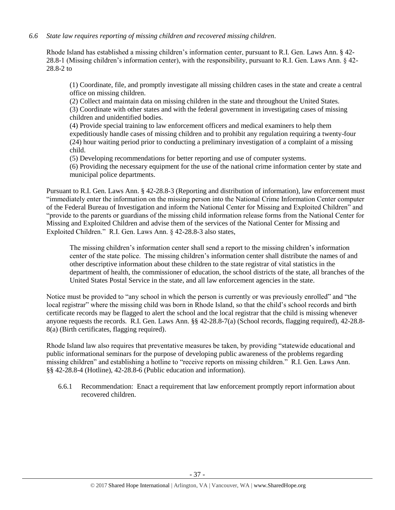## *6.6 State law requires reporting of missing children and recovered missing children.*

Rhode Island has established a missing children's information center, pursuant to R.I. Gen. Laws Ann. § 42- 28.8-1 (Missing children's information center), with the responsibility, pursuant to R.I. Gen. Laws Ann. § 42- 28.8-2 to

(1) Coordinate, file, and promptly investigate all missing children cases in the state and create a central office on missing children.

(2) Collect and maintain data on missing children in the state and throughout the United States. (3) Coordinate with other states and with the federal government in investigating cases of missing children and unidentified bodies.

(4) Provide special training to law enforcement officers and medical examiners to help them expeditiously handle cases of missing children and to prohibit any regulation requiring a twenty-four (24) hour waiting period prior to conducting a preliminary investigation of a complaint of a missing child.

(5) Developing recommendations for better reporting and use of computer systems.

(6) Providing the necessary equipment for the use of the national crime information center by state and municipal police departments.

Pursuant to R.I. Gen. Laws Ann. § 42-28.8-3 (Reporting and distribution of information), law enforcement must "immediately enter the information on the missing person into the National Crime Information Center computer of the Federal Bureau of Investigation and inform the National Center for Missing and Exploited Children" and "provide to the parents or guardians of the missing child information release forms from the National Center for Missing and Exploited Children and advise them of the services of the National Center for Missing and Exploited Children." R.I. Gen. Laws Ann. § 42-28.8-3 also states,

The missing children's information center shall send a report to the missing children's information center of the state police. The missing children's information center shall distribute the names of and other descriptive information about these children to the state registrar of vital statistics in the department of health, the commissioner of education, the school districts of the state, all branches of the United States Postal Service in the state, and all law enforcement agencies in the state.

Notice must be provided to "any school in which the person is currently or was previously enrolled" and "the local registrar" where the missing child was born in Rhode Island, so that the child's school records and birth certificate records may be flagged to alert the school and the local registrar that the child is missing whenever anyone requests the records. R.I. Gen. Laws Ann. §§ 42-28.8-7(a) (School records, flagging required), 42-28.8- 8(a) (Birth certificates, flagging required).

Rhode Island law also requires that preventative measures be taken, by providing "statewide educational and public informational seminars for the purpose of developing public awareness of the problems regarding missing children" and establishing a hotline to "receive reports on missing children." R.I. Gen. Laws Ann. §§ 42-28.8-4 (Hotline), 42-28.8-6 (Public education and information).

6.6.1 Recommendation: Enact a requirement that law enforcement promptly report information about recovered children.